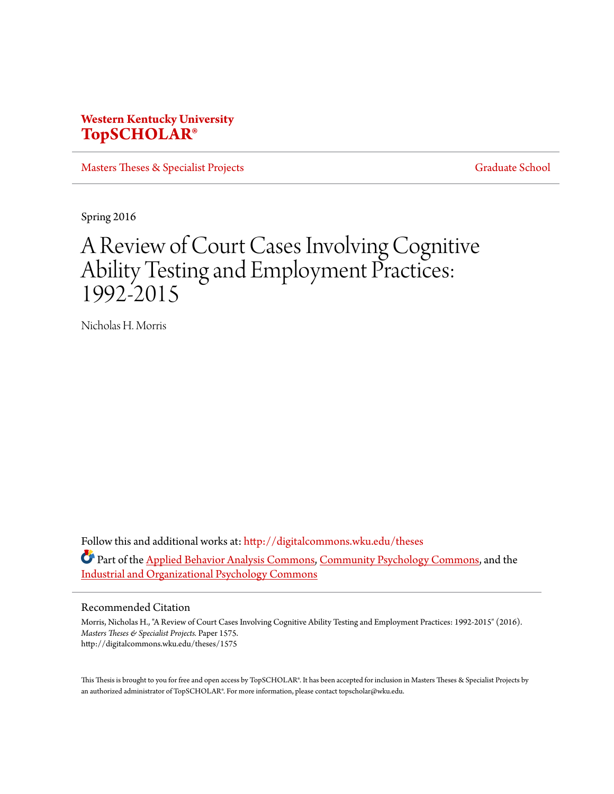# **Western Kentucky University [TopSCHOLAR®](http://digitalcommons.wku.edu?utm_source=digitalcommons.wku.edu%2Ftheses%2F1575&utm_medium=PDF&utm_campaign=PDFCoverPages)**

[Masters Theses & Specialist Projects](http://digitalcommons.wku.edu/theses?utm_source=digitalcommons.wku.edu%2Ftheses%2F1575&utm_medium=PDF&utm_campaign=PDFCoverPages) [Graduate School](http://digitalcommons.wku.edu/Graduate?utm_source=digitalcommons.wku.edu%2Ftheses%2F1575&utm_medium=PDF&utm_campaign=PDFCoverPages)

Spring 2016

# A Review of Court Cases Involving Cognitive Ability Testing and Employment Practices: 1992-2015

Nicholas H. Morris

Follow this and additional works at: [http://digitalcommons.wku.edu/theses](http://digitalcommons.wku.edu/theses?utm_source=digitalcommons.wku.edu%2Ftheses%2F1575&utm_medium=PDF&utm_campaign=PDFCoverPages) Part of the [Applied Behavior Analysis Commons](http://network.bepress.com/hgg/discipline/1235?utm_source=digitalcommons.wku.edu%2Ftheses%2F1575&utm_medium=PDF&utm_campaign=PDFCoverPages), [Community Psychology Commons,](http://network.bepress.com/hgg/discipline/409?utm_source=digitalcommons.wku.edu%2Ftheses%2F1575&utm_medium=PDF&utm_campaign=PDFCoverPages) and the [Industrial and Organizational Psychology Commons](http://network.bepress.com/hgg/discipline/412?utm_source=digitalcommons.wku.edu%2Ftheses%2F1575&utm_medium=PDF&utm_campaign=PDFCoverPages)

#### Recommended Citation

Morris, Nicholas H., "A Review of Court Cases Involving Cognitive Ability Testing and Employment Practices: 1992-2015" (2016). *Masters Theses & Specialist Projects.* Paper 1575. http://digitalcommons.wku.edu/theses/1575

This Thesis is brought to you for free and open access by TopSCHOLAR®. It has been accepted for inclusion in Masters Theses & Specialist Projects by an authorized administrator of TopSCHOLAR®. For more information, please contact topscholar@wku.edu.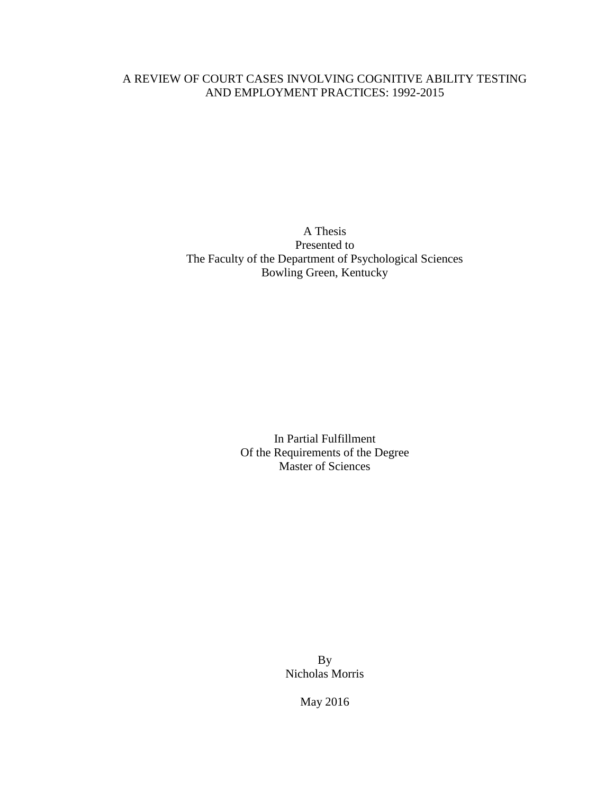# A REVIEW OF COURT CASES INVOLVING COGNITIVE ABILITY TESTING AND EMPLOYMENT PRACTICES: 1992-2015

A Thesis Presented to The Faculty of the Department of Psychological Sciences Bowling Green, Kentucky

> In Partial Fulfillment Of the Requirements of the Degree Master of Sciences

> > By Nicholas Morris

> > > May 2016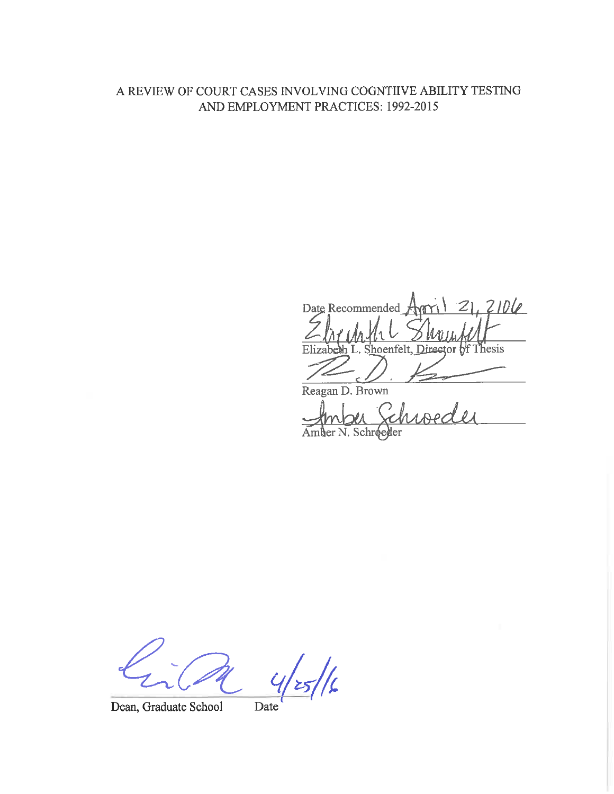# A REVIEW OF COURT CASES INVOLVING COGNTIIVE ABILITY TESTING AND EMPLOYMENT PRACTICES: 1992-2015

 $21,2106$ Date Recommended Director of Thesis Elizabe S hoenfelt. Reagan D. Brown

N. Schroeder An

 $\frac{1}{2}$ 

Dean, Graduate School

Date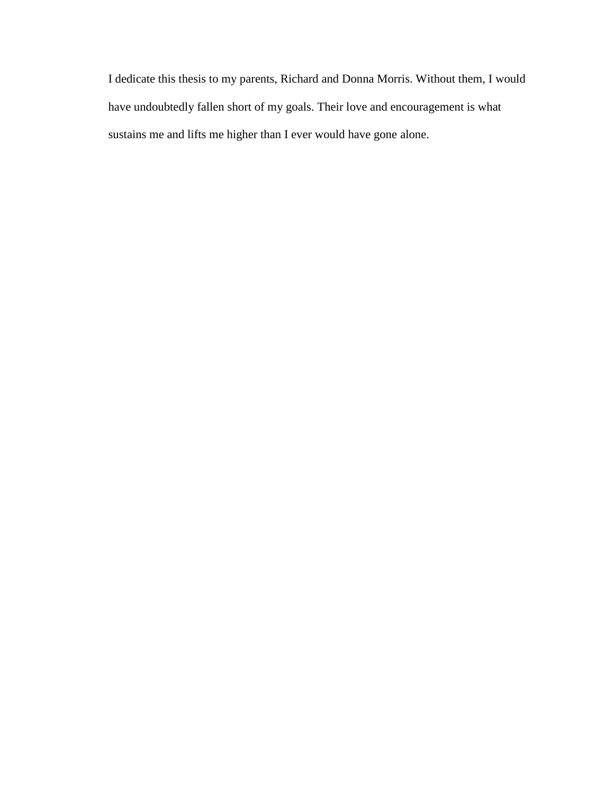I dedicate this thesis to my parents, Richard and Donna Morris. Without them, I would have undoubtedly fallen short of my goals. Their love and encouragement is what sustains me and lifts me higher than I ever would have gone alone.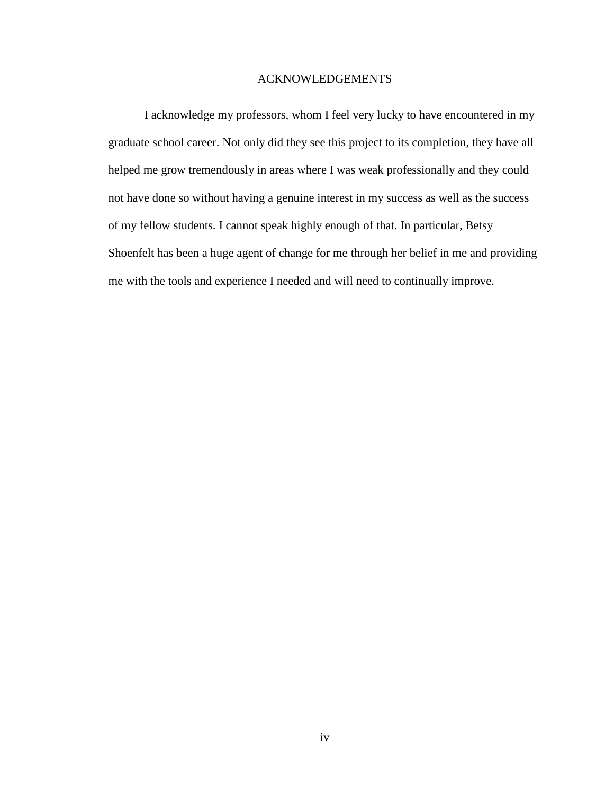### ACKNOWLEDGEMENTS

I acknowledge my professors, whom I feel very lucky to have encountered in my graduate school career. Not only did they see this project to its completion, they have all helped me grow tremendously in areas where I was weak professionally and they could not have done so without having a genuine interest in my success as well as the success of my fellow students. I cannot speak highly enough of that. In particular, Betsy Shoenfelt has been a huge agent of change for me through her belief in me and providing me with the tools and experience I needed and will need to continually improve.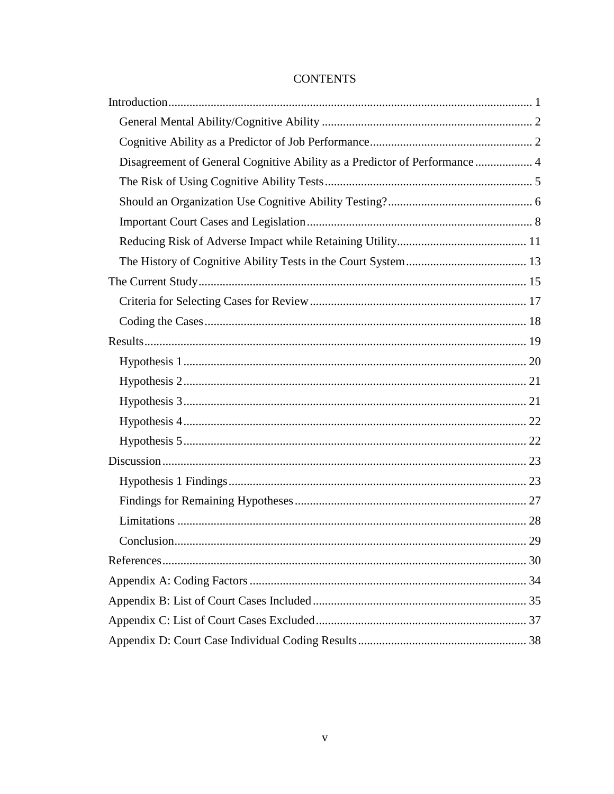# **CONTENTS**

| Disagreement of General Cognitive Ability as a Predictor of Performance  4 |
|----------------------------------------------------------------------------|
|                                                                            |
|                                                                            |
|                                                                            |
|                                                                            |
|                                                                            |
|                                                                            |
|                                                                            |
|                                                                            |
|                                                                            |
|                                                                            |
|                                                                            |
|                                                                            |
|                                                                            |
|                                                                            |
|                                                                            |
|                                                                            |
|                                                                            |
|                                                                            |
|                                                                            |
|                                                                            |
|                                                                            |
|                                                                            |
|                                                                            |
|                                                                            |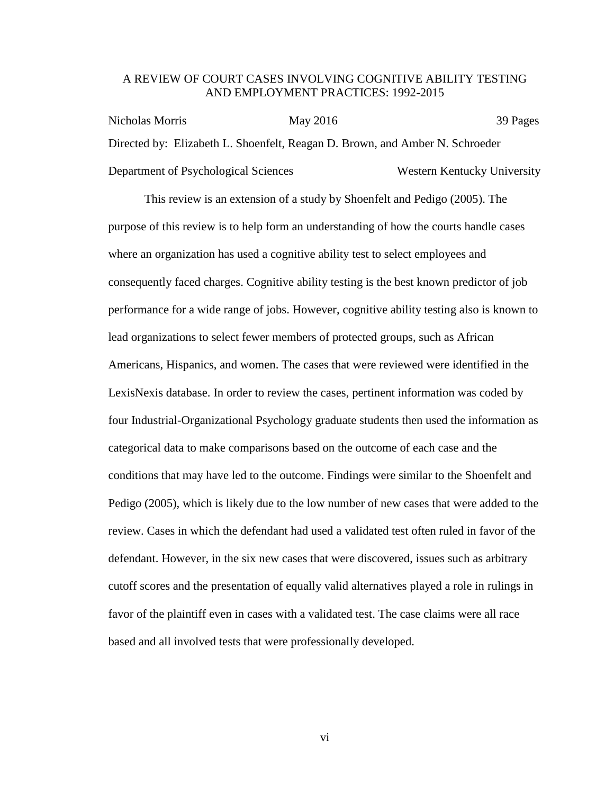### A REVIEW OF COURT CASES INVOLVING COGNITIVE ABILITY TESTING AND EMPLOYMENT PRACTICES: 1992-2015

Nicholas Morris May 2016 1999 Pages Directed by: Elizabeth L. Shoenfelt, Reagan D. Brown, and Amber N. Schroeder Department of Psychological Sciences Western Kentucky University

This review is an extension of a study by Shoenfelt and Pedigo (2005). The purpose of this review is to help form an understanding of how the courts handle cases where an organization has used a cognitive ability test to select employees and consequently faced charges. Cognitive ability testing is the best known predictor of job performance for a wide range of jobs. However, cognitive ability testing also is known to lead organizations to select fewer members of protected groups, such as African Americans, Hispanics, and women. The cases that were reviewed were identified in the LexisNexis database. In order to review the cases, pertinent information was coded by four Industrial-Organizational Psychology graduate students then used the information as categorical data to make comparisons based on the outcome of each case and the conditions that may have led to the outcome. Findings were similar to the Shoenfelt and Pedigo (2005), which is likely due to the low number of new cases that were added to the review. Cases in which the defendant had used a validated test often ruled in favor of the defendant. However, in the six new cases that were discovered, issues such as arbitrary cutoff scores and the presentation of equally valid alternatives played a role in rulings in favor of the plaintiff even in cases with a validated test. The case claims were all race based and all involved tests that were professionally developed.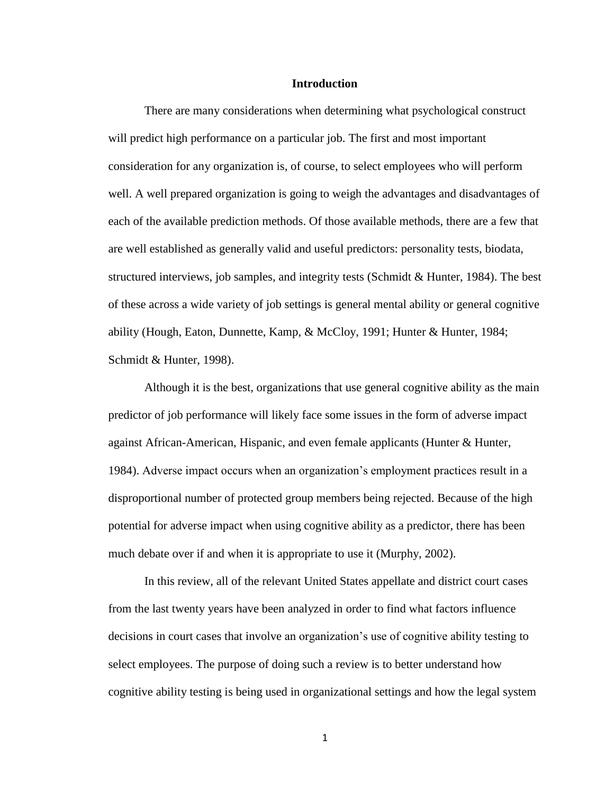### **Introduction**

<span id="page-7-0"></span>There are many considerations when determining what psychological construct will predict high performance on a particular job. The first and most important consideration for any organization is, of course, to select employees who will perform well. A well prepared organization is going to weigh the advantages and disadvantages of each of the available prediction methods. Of those available methods, there are a few that are well established as generally valid and useful predictors: personality tests, biodata, structured interviews, job samples, and integrity tests (Schmidt & Hunter, 1984). The best of these across a wide variety of job settings is general mental ability or general cognitive ability (Hough, Eaton, Dunnette, Kamp, & McCloy, 1991; Hunter & Hunter, 1984; Schmidt & Hunter, 1998).

Although it is the best, organizations that use general cognitive ability as the main predictor of job performance will likely face some issues in the form of adverse impact against African-American, Hispanic, and even female applicants (Hunter & Hunter, 1984). Adverse impact occurs when an organization's employment practices result in a disproportional number of protected group members being rejected. Because of the high potential for adverse impact when using cognitive ability as a predictor, there has been much debate over if and when it is appropriate to use it (Murphy, 2002).

In this review, all of the relevant United States appellate and district court cases from the last twenty years have been analyzed in order to find what factors influence decisions in court cases that involve an organization's use of cognitive ability testing to select employees. The purpose of doing such a review is to better understand how cognitive ability testing is being used in organizational settings and how the legal system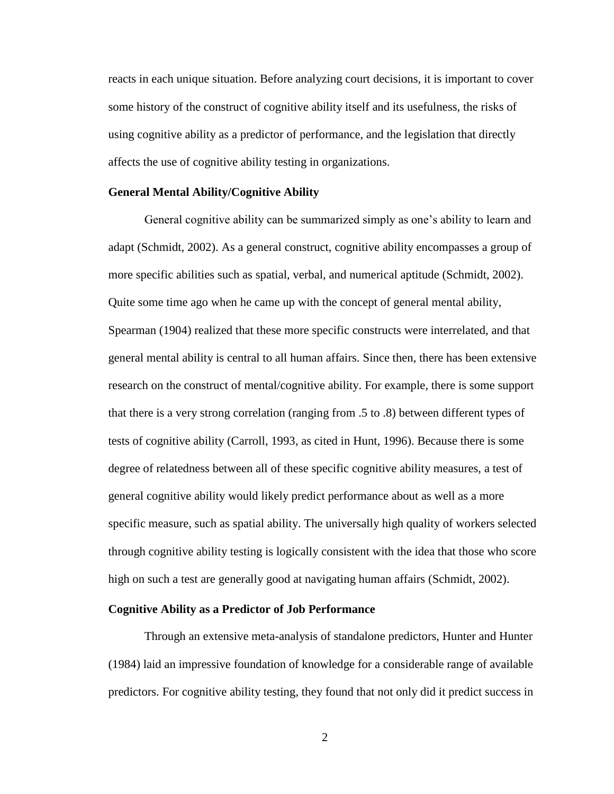reacts in each unique situation. Before analyzing court decisions, it is important to cover some history of the construct of cognitive ability itself and its usefulness, the risks of using cognitive ability as a predictor of performance, and the legislation that directly affects the use of cognitive ability testing in organizations.

#### <span id="page-8-0"></span>**General Mental Ability/Cognitive Ability**

General cognitive ability can be summarized simply as one's ability to learn and adapt (Schmidt, 2002). As a general construct, cognitive ability encompasses a group of more specific abilities such as spatial, verbal, and numerical aptitude (Schmidt, 2002). Quite some time ago when he came up with the concept of general mental ability, Spearman (1904) realized that these more specific constructs were interrelated, and that general mental ability is central to all human affairs. Since then, there has been extensive research on the construct of mental/cognitive ability. For example, there is some support that there is a very strong correlation (ranging from .5 to .8) between different types of tests of cognitive ability (Carroll, 1993, as cited in Hunt, 1996). Because there is some degree of relatedness between all of these specific cognitive ability measures, a test of general cognitive ability would likely predict performance about as well as a more specific measure, such as spatial ability. The universally high quality of workers selected through cognitive ability testing is logically consistent with the idea that those who score high on such a test are generally good at navigating human affairs (Schmidt, 2002).

#### <span id="page-8-1"></span>**Cognitive Ability as a Predictor of Job Performance**

Through an extensive meta-analysis of standalone predictors, Hunter and Hunter (1984) laid an impressive foundation of knowledge for a considerable range of available predictors. For cognitive ability testing, they found that not only did it predict success in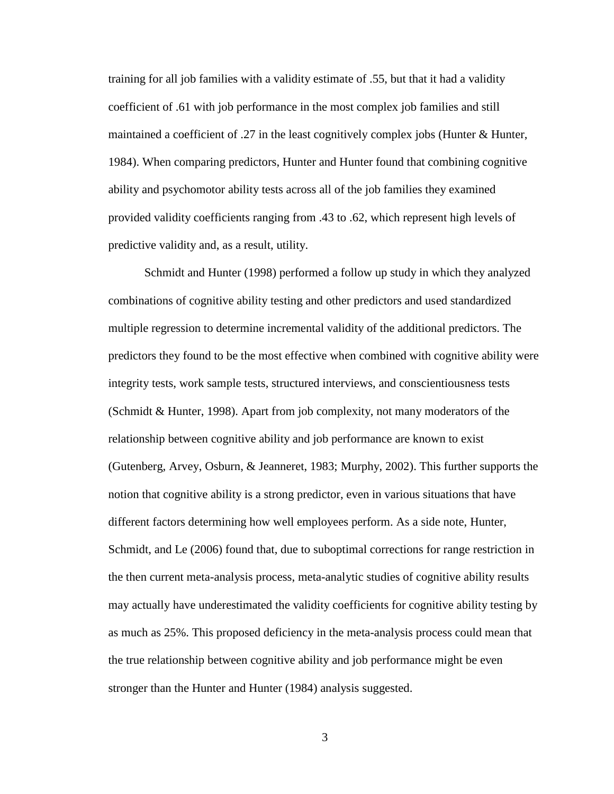training for all job families with a validity estimate of .55, but that it had a validity coefficient of .61 with job performance in the most complex job families and still maintained a coefficient of .27 in the least cognitively complex jobs (Hunter & Hunter, 1984). When comparing predictors, Hunter and Hunter found that combining cognitive ability and psychomotor ability tests across all of the job families they examined provided validity coefficients ranging from .43 to .62, which represent high levels of predictive validity and, as a result, utility.

Schmidt and Hunter (1998) performed a follow up study in which they analyzed combinations of cognitive ability testing and other predictors and used standardized multiple regression to determine incremental validity of the additional predictors. The predictors they found to be the most effective when combined with cognitive ability were integrity tests, work sample tests, structured interviews, and conscientiousness tests (Schmidt & Hunter, 1998). Apart from job complexity, not many moderators of the relationship between cognitive ability and job performance are known to exist (Gutenberg, Arvey, Osburn, & Jeanneret, 1983; Murphy, 2002). This further supports the notion that cognitive ability is a strong predictor, even in various situations that have different factors determining how well employees perform. As a side note, Hunter, Schmidt, and Le (2006) found that, due to suboptimal corrections for range restriction in the then current meta-analysis process, meta-analytic studies of cognitive ability results may actually have underestimated the validity coefficients for cognitive ability testing by as much as 25%. This proposed deficiency in the meta-analysis process could mean that the true relationship between cognitive ability and job performance might be even stronger than the Hunter and Hunter (1984) analysis suggested.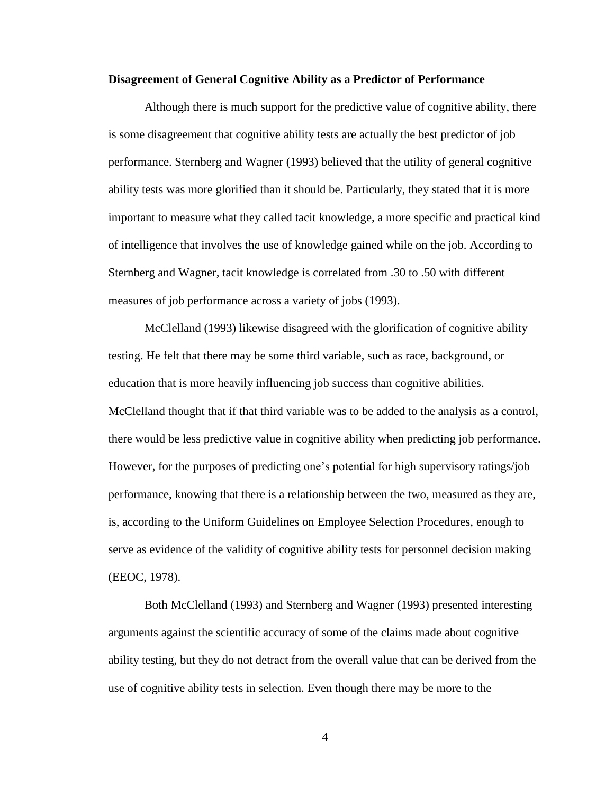#### <span id="page-10-0"></span>**Disagreement of General Cognitive Ability as a Predictor of Performance**

Although there is much support for the predictive value of cognitive ability, there is some disagreement that cognitive ability tests are actually the best predictor of job performance. Sternberg and Wagner (1993) believed that the utility of general cognitive ability tests was more glorified than it should be. Particularly, they stated that it is more important to measure what they called tacit knowledge, a more specific and practical kind of intelligence that involves the use of knowledge gained while on the job. According to Sternberg and Wagner, tacit knowledge is correlated from .30 to .50 with different measures of job performance across a variety of jobs (1993).

McClelland (1993) likewise disagreed with the glorification of cognitive ability testing. He felt that there may be some third variable, such as race, background, or education that is more heavily influencing job success than cognitive abilities. McClelland thought that if that third variable was to be added to the analysis as a control, there would be less predictive value in cognitive ability when predicting job performance. However, for the purposes of predicting one's potential for high supervisory ratings/job performance, knowing that there is a relationship between the two, measured as they are, is, according to the Uniform Guidelines on Employee Selection Procedures, enough to serve as evidence of the validity of cognitive ability tests for personnel decision making (EEOC, 1978).

Both McClelland (1993) and Sternberg and Wagner (1993) presented interesting arguments against the scientific accuracy of some of the claims made about cognitive ability testing, but they do not detract from the overall value that can be derived from the use of cognitive ability tests in selection. Even though there may be more to the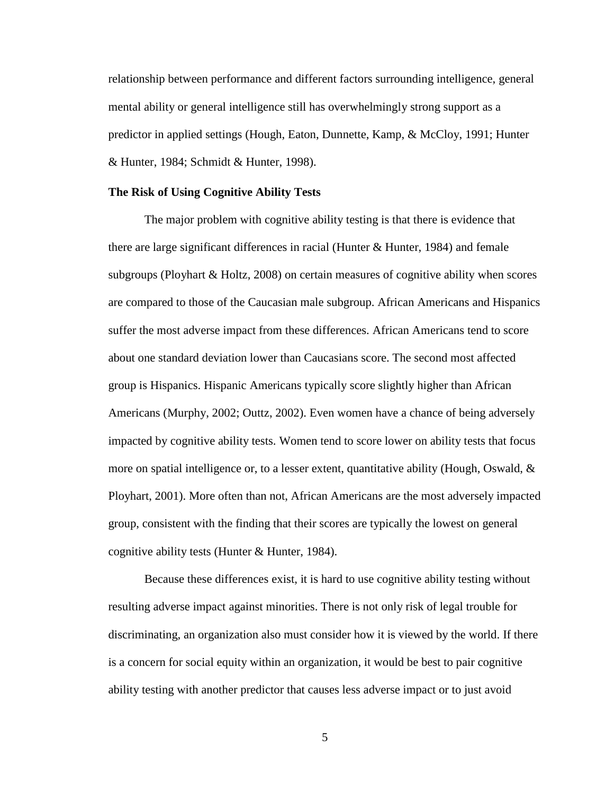relationship between performance and different factors surrounding intelligence, general mental ability or general intelligence still has overwhelmingly strong support as a predictor in applied settings (Hough, Eaton, Dunnette, Kamp, & McCloy, 1991; Hunter & Hunter, 1984; Schmidt & Hunter, 1998).

### <span id="page-11-0"></span>**The Risk of Using Cognitive Ability Tests**

The major problem with cognitive ability testing is that there is evidence that there are large significant differences in racial (Hunter & Hunter, 1984) and female subgroups (Ployhart & Holtz, 2008) on certain measures of cognitive ability when scores are compared to those of the Caucasian male subgroup. African Americans and Hispanics suffer the most adverse impact from these differences. African Americans tend to score about one standard deviation lower than Caucasians score. The second most affected group is Hispanics. Hispanic Americans typically score slightly higher than African Americans (Murphy, 2002; Outtz, 2002). Even women have a chance of being adversely impacted by cognitive ability tests. Women tend to score lower on ability tests that focus more on spatial intelligence or, to a lesser extent, quantitative ability (Hough, Oswald,  $\&$ Ployhart, 2001). More often than not, African Americans are the most adversely impacted group, consistent with the finding that their scores are typically the lowest on general cognitive ability tests (Hunter & Hunter, 1984).

Because these differences exist, it is hard to use cognitive ability testing without resulting adverse impact against minorities. There is not only risk of legal trouble for discriminating, an organization also must consider how it is viewed by the world. If there is a concern for social equity within an organization, it would be best to pair cognitive ability testing with another predictor that causes less adverse impact or to just avoid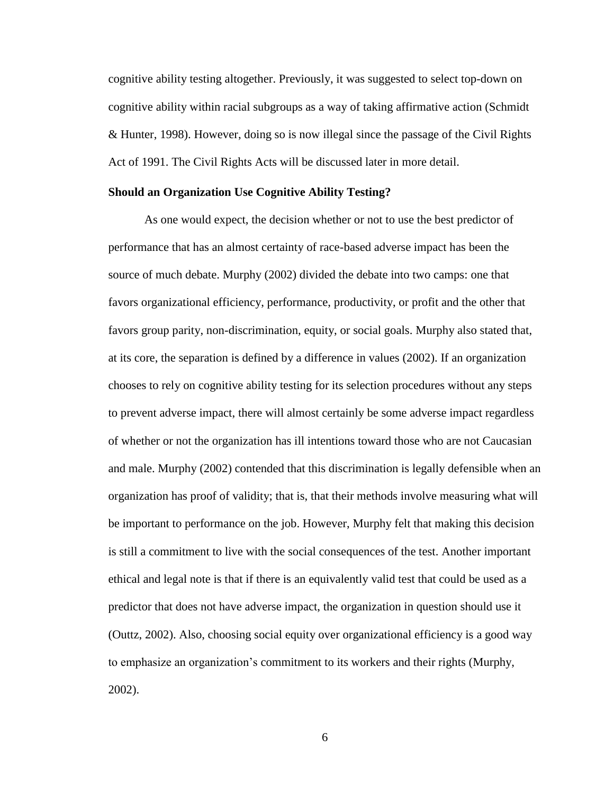cognitive ability testing altogether. Previously, it was suggested to select top-down on cognitive ability within racial subgroups as a way of taking affirmative action (Schmidt & Hunter, 1998). However, doing so is now illegal since the passage of the Civil Rights Act of 1991. The Civil Rights Acts will be discussed later in more detail.

### <span id="page-12-0"></span>**Should an Organization Use Cognitive Ability Testing?**

As one would expect, the decision whether or not to use the best predictor of performance that has an almost certainty of race-based adverse impact has been the source of much debate. Murphy (2002) divided the debate into two camps: one that favors organizational efficiency, performance, productivity, or profit and the other that favors group parity, non-discrimination, equity, or social goals. Murphy also stated that, at its core, the separation is defined by a difference in values (2002). If an organization chooses to rely on cognitive ability testing for its selection procedures without any steps to prevent adverse impact, there will almost certainly be some adverse impact regardless of whether or not the organization has ill intentions toward those who are not Caucasian and male. Murphy (2002) contended that this discrimination is legally defensible when an organization has proof of validity; that is, that their methods involve measuring what will be important to performance on the job. However, Murphy felt that making this decision is still a commitment to live with the social consequences of the test. Another important ethical and legal note is that if there is an equivalently valid test that could be used as a predictor that does not have adverse impact, the organization in question should use it (Outtz, 2002). Also, choosing social equity over organizational efficiency is a good way to emphasize an organization's commitment to its workers and their rights (Murphy, 2002).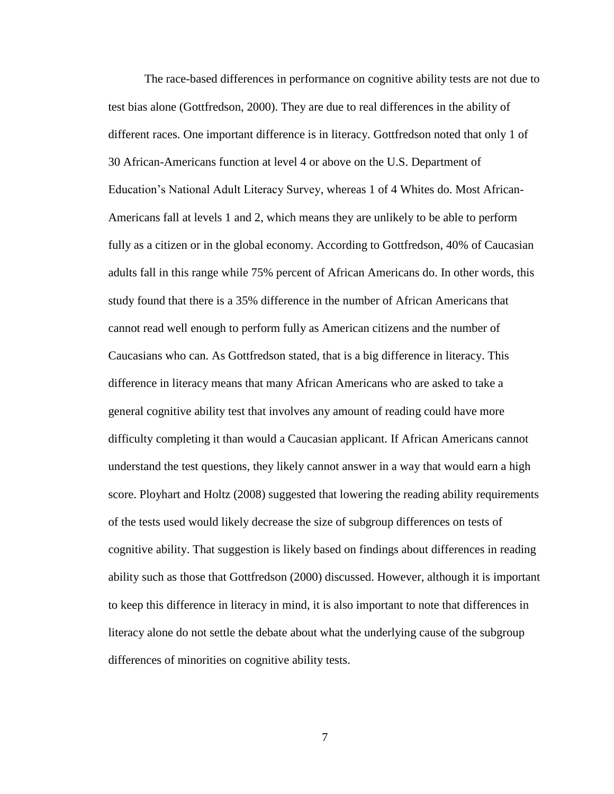The race-based differences in performance on cognitive ability tests are not due to test bias alone (Gottfredson, 2000). They are due to real differences in the ability of different races. One important difference is in literacy. Gottfredson noted that only 1 of 30 African-Americans function at level 4 or above on the U.S. Department of Education's National Adult Literacy Survey, whereas 1 of 4 Whites do. Most African-Americans fall at levels 1 and 2, which means they are unlikely to be able to perform fully as a citizen or in the global economy. According to Gottfredson, 40% of Caucasian adults fall in this range while 75% percent of African Americans do. In other words, this study found that there is a 35% difference in the number of African Americans that cannot read well enough to perform fully as American citizens and the number of Caucasians who can. As Gottfredson stated, that is a big difference in literacy. This difference in literacy means that many African Americans who are asked to take a general cognitive ability test that involves any amount of reading could have more difficulty completing it than would a Caucasian applicant. If African Americans cannot understand the test questions, they likely cannot answer in a way that would earn a high score. Ployhart and Holtz (2008) suggested that lowering the reading ability requirements of the tests used would likely decrease the size of subgroup differences on tests of cognitive ability. That suggestion is likely based on findings about differences in reading ability such as those that Gottfredson (2000) discussed. However, although it is important to keep this difference in literacy in mind, it is also important to note that differences in literacy alone do not settle the debate about what the underlying cause of the subgroup differences of minorities on cognitive ability tests.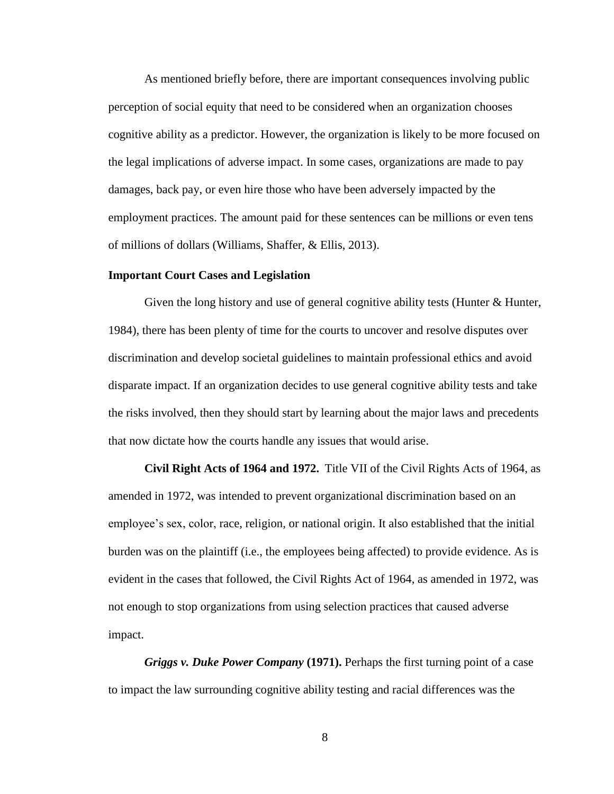As mentioned briefly before, there are important consequences involving public perception of social equity that need to be considered when an organization chooses cognitive ability as a predictor. However, the organization is likely to be more focused on the legal implications of adverse impact. In some cases, organizations are made to pay damages, back pay, or even hire those who have been adversely impacted by the employment practices. The amount paid for these sentences can be millions or even tens of millions of dollars (Williams, Shaffer, & Ellis, 2013).

### <span id="page-14-0"></span>**Important Court Cases and Legislation**

Given the long history and use of general cognitive ability tests (Hunter & Hunter, 1984), there has been plenty of time for the courts to uncover and resolve disputes over discrimination and develop societal guidelines to maintain professional ethics and avoid disparate impact. If an organization decides to use general cognitive ability tests and take the risks involved, then they should start by learning about the major laws and precedents that now dictate how the courts handle any issues that would arise.

**Civil Right Acts of 1964 and 1972.** Title VII of the Civil Rights Acts of 1964, as amended in 1972, was intended to prevent organizational discrimination based on an employee's sex, color, race, religion, or national origin. It also established that the initial burden was on the plaintiff (i.e., the employees being affected) to provide evidence. As is evident in the cases that followed, the Civil Rights Act of 1964, as amended in 1972, was not enough to stop organizations from using selection practices that caused adverse impact.

*Griggs v. Duke Power Company* **(1971).** Perhaps the first turning point of a case to impact the law surrounding cognitive ability testing and racial differences was the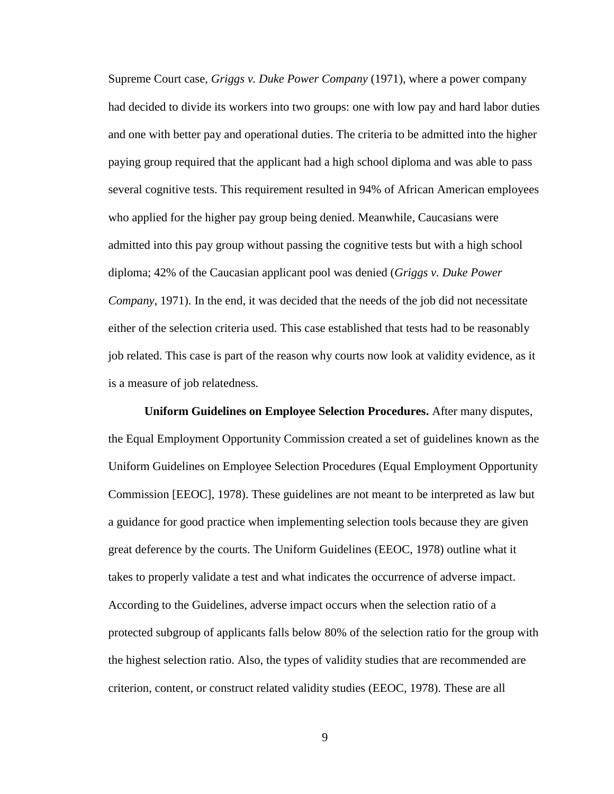Supreme Court case, *Griggs v. Duke Power Company* (1971), where a power company had decided to divide its workers into two groups: one with low pay and hard labor duties and one with better pay and operational duties. The criteria to be admitted into the higher paying group required that the applicant had a high school diploma and was able to pass several cognitive tests. This requirement resulted in 94% of African American employees who applied for the higher pay group being denied. Meanwhile, Caucasians were admitted into this pay group without passing the cognitive tests but with a high school diploma; 42% of the Caucasian applicant pool was denied (*Griggs v. Duke Power Company*, 1971). In the end, it was decided that the needs of the job did not necessitate either of the selection criteria used. This case established that tests had to be reasonably job related. This case is part of the reason why courts now look at validity evidence, as it is a measure of job relatedness.

**Uniform Guidelines on Employee Selection Procedures.** After many disputes, the Equal Employment Opportunity Commission created a set of guidelines known as the Uniform Guidelines on Employee Selection Procedures (Equal Employment Opportunity Commission [EEOC], 1978). These guidelines are not meant to be interpreted as law but a guidance for good practice when implementing selection tools because they are given great deference by the courts. The Uniform Guidelines (EEOC, 1978) outline what it takes to properly validate a test and what indicates the occurrence of adverse impact. According to the Guidelines, adverse impact occurs when the selection ratio of a protected subgroup of applicants falls below 80% of the selection ratio for the group with the highest selection ratio. Also, the types of validity studies that are recommended are criterion, content, or construct related validity studies (EEOC, 1978). These are all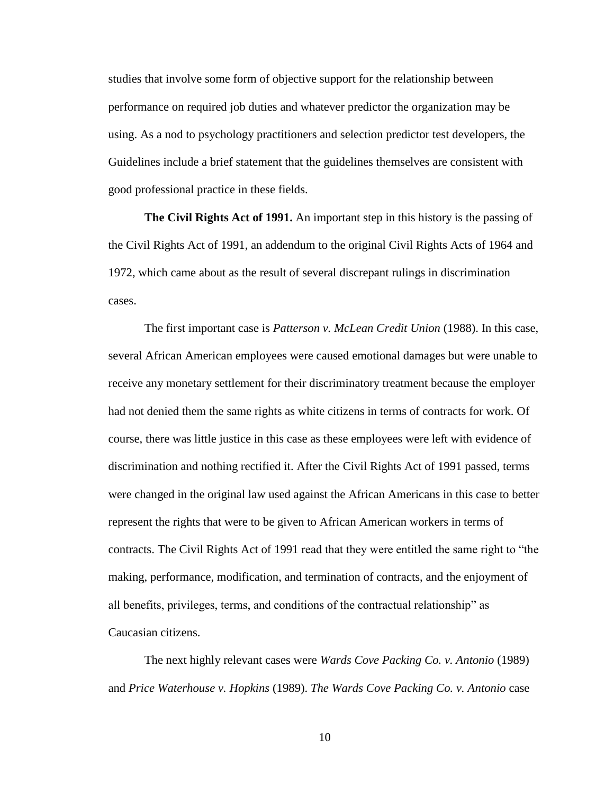studies that involve some form of objective support for the relationship between performance on required job duties and whatever predictor the organization may be using. As a nod to psychology practitioners and selection predictor test developers, the Guidelines include a brief statement that the guidelines themselves are consistent with good professional practice in these fields.

**The Civil Rights Act of 1991.** An important step in this history is the passing of the Civil Rights Act of 1991, an addendum to the original Civil Rights Acts of 1964 and 1972, which came about as the result of several discrepant rulings in discrimination cases.

The first important case is *Patterson v. McLean Credit Union* (1988). In this case, several African American employees were caused emotional damages but were unable to receive any monetary settlement for their discriminatory treatment because the employer had not denied them the same rights as white citizens in terms of contracts for work. Of course, there was little justice in this case as these employees were left with evidence of discrimination and nothing rectified it. After the Civil Rights Act of 1991 passed, terms were changed in the original law used against the African Americans in this case to better represent the rights that were to be given to African American workers in terms of contracts. The Civil Rights Act of 1991 read that they were entitled the same right to "the making, performance, modification, and termination of contracts, and the enjoyment of all benefits, privileges, terms, and conditions of the contractual relationship" as Caucasian citizens.

The next highly relevant cases were *Wards Cove Packing Co. v. Antonio* (1989) and *Price Waterhouse v. Hopkins* (1989). *The Wards Cove Packing Co. v. Antonio* case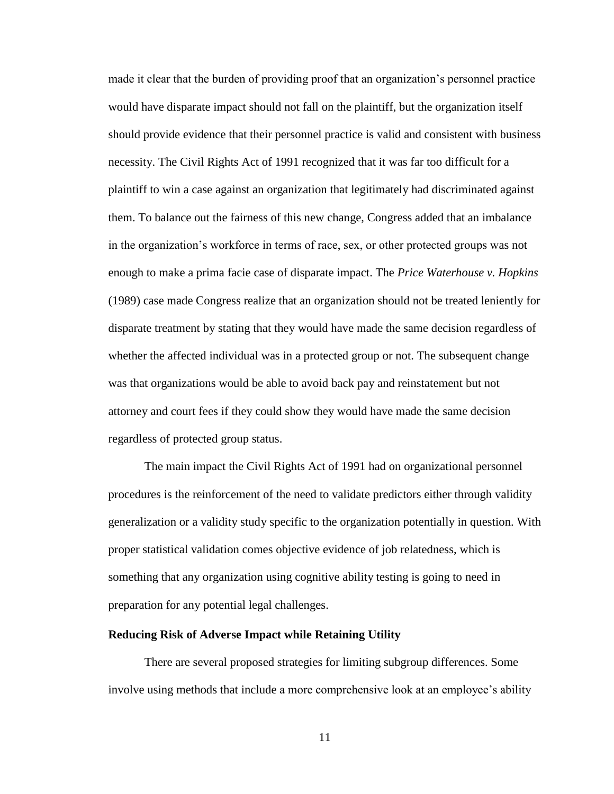made it clear that the burden of providing proof that an organization's personnel practice would have disparate impact should not fall on the plaintiff, but the organization itself should provide evidence that their personnel practice is valid and consistent with business necessity. The Civil Rights Act of 1991 recognized that it was far too difficult for a plaintiff to win a case against an organization that legitimately had discriminated against them. To balance out the fairness of this new change, Congress added that an imbalance in the organization's workforce in terms of race, sex, or other protected groups was not enough to make a prima facie case of disparate impact. The *Price Waterhouse v. Hopkins* (1989) case made Congress realize that an organization should not be treated leniently for disparate treatment by stating that they would have made the same decision regardless of whether the affected individual was in a protected group or not. The subsequent change was that organizations would be able to avoid back pay and reinstatement but not attorney and court fees if they could show they would have made the same decision regardless of protected group status.

The main impact the Civil Rights Act of 1991 had on organizational personnel procedures is the reinforcement of the need to validate predictors either through validity generalization or a validity study specific to the organization potentially in question. With proper statistical validation comes objective evidence of job relatedness, which is something that any organization using cognitive ability testing is going to need in preparation for any potential legal challenges.

### <span id="page-17-0"></span>**Reducing Risk of Adverse Impact while Retaining Utility**

There are several proposed strategies for limiting subgroup differences. Some involve using methods that include a more comprehensive look at an employee's ability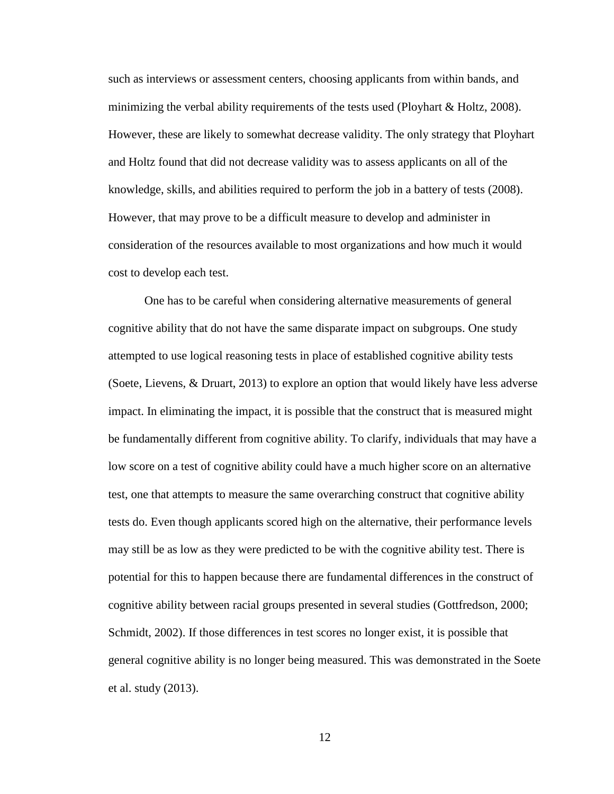such as interviews or assessment centers, choosing applicants from within bands, and minimizing the verbal ability requirements of the tests used (Ployhart  $\&$  Holtz, 2008). However, these are likely to somewhat decrease validity. The only strategy that Ployhart and Holtz found that did not decrease validity was to assess applicants on all of the knowledge, skills, and abilities required to perform the job in a battery of tests (2008). However, that may prove to be a difficult measure to develop and administer in consideration of the resources available to most organizations and how much it would cost to develop each test.

One has to be careful when considering alternative measurements of general cognitive ability that do not have the same disparate impact on subgroups. One study attempted to use logical reasoning tests in place of established cognitive ability tests (Soete, Lievens, & Druart, 2013) to explore an option that would likely have less adverse impact. In eliminating the impact, it is possible that the construct that is measured might be fundamentally different from cognitive ability. To clarify, individuals that may have a low score on a test of cognitive ability could have a much higher score on an alternative test, one that attempts to measure the same overarching construct that cognitive ability tests do. Even though applicants scored high on the alternative, their performance levels may still be as low as they were predicted to be with the cognitive ability test. There is potential for this to happen because there are fundamental differences in the construct of cognitive ability between racial groups presented in several studies (Gottfredson, 2000; Schmidt, 2002). If those differences in test scores no longer exist, it is possible that general cognitive ability is no longer being measured. This was demonstrated in the Soete et al. study (2013).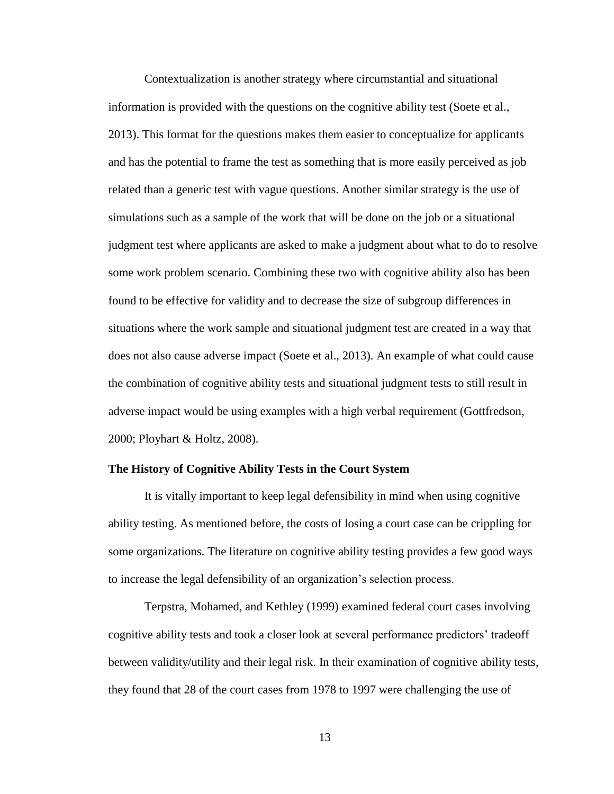Contextualization is another strategy where circumstantial and situational information is provided with the questions on the cognitive ability test (Soete et al., 2013). This format for the questions makes them easier to conceptualize for applicants and has the potential to frame the test as something that is more easily perceived as job related than a generic test with vague questions. Another similar strategy is the use of simulations such as a sample of the work that will be done on the job or a situational judgment test where applicants are asked to make a judgment about what to do to resolve some work problem scenario. Combining these two with cognitive ability also has been found to be effective for validity and to decrease the size of subgroup differences in situations where the work sample and situational judgment test are created in a way that does not also cause adverse impact (Soete et al., 2013). An example of what could cause the combination of cognitive ability tests and situational judgment tests to still result in adverse impact would be using examples with a high verbal requirement (Gottfredson, 2000; Ployhart & Holtz, 2008).

### <span id="page-19-0"></span>**The History of Cognitive Ability Tests in the Court System**

It is vitally important to keep legal defensibility in mind when using cognitive ability testing. As mentioned before, the costs of losing a court case can be crippling for some organizations. The literature on cognitive ability testing provides a few good ways to increase the legal defensibility of an organization's selection process.

Terpstra, Mohamed, and Kethley (1999) examined federal court cases involving cognitive ability tests and took a closer look at several performance predictors' tradeoff between validity/utility and their legal risk. In their examination of cognitive ability tests, they found that 28 of the court cases from 1978 to 1997 were challenging the use of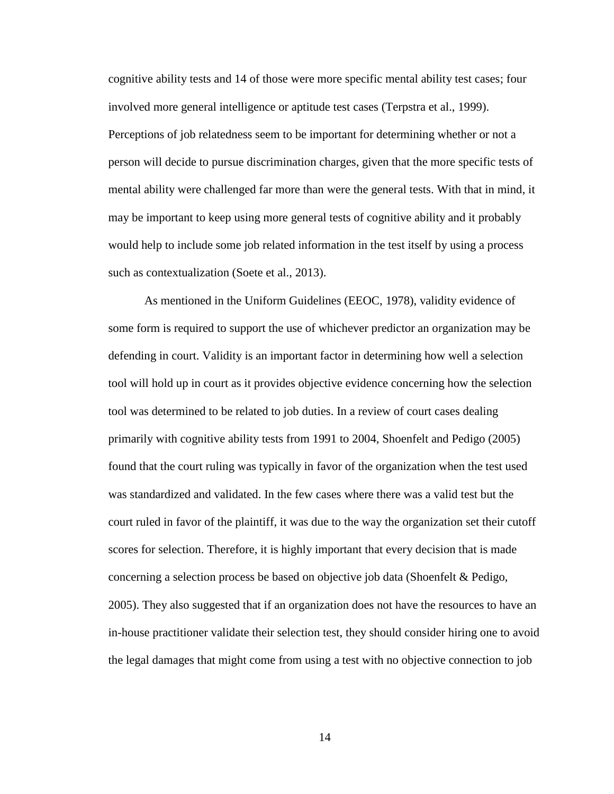cognitive ability tests and 14 of those were more specific mental ability test cases; four involved more general intelligence or aptitude test cases (Terpstra et al., 1999). Perceptions of job relatedness seem to be important for determining whether or not a person will decide to pursue discrimination charges, given that the more specific tests of mental ability were challenged far more than were the general tests. With that in mind, it may be important to keep using more general tests of cognitive ability and it probably would help to include some job related information in the test itself by using a process such as contextualization (Soete et al., 2013).

As mentioned in the Uniform Guidelines (EEOC, 1978), validity evidence of some form is required to support the use of whichever predictor an organization may be defending in court. Validity is an important factor in determining how well a selection tool will hold up in court as it provides objective evidence concerning how the selection tool was determined to be related to job duties. In a review of court cases dealing primarily with cognitive ability tests from 1991 to 2004, Shoenfelt and Pedigo (2005) found that the court ruling was typically in favor of the organization when the test used was standardized and validated. In the few cases where there was a valid test but the court ruled in favor of the plaintiff, it was due to the way the organization set their cutoff scores for selection. Therefore, it is highly important that every decision that is made concerning a selection process be based on objective job data (Shoenfelt & Pedigo, 2005). They also suggested that if an organization does not have the resources to have an in-house practitioner validate their selection test, they should consider hiring one to avoid the legal damages that might come from using a test with no objective connection to job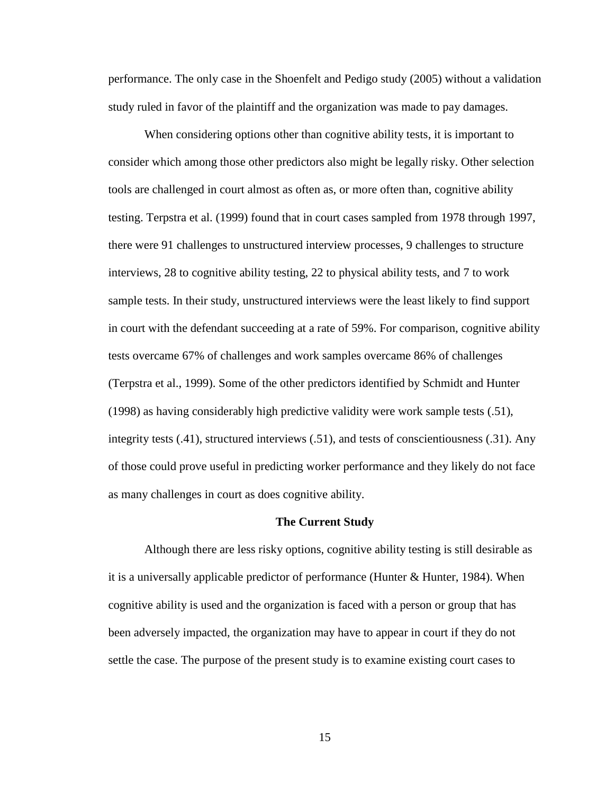performance. The only case in the Shoenfelt and Pedigo study (2005) without a validation study ruled in favor of the plaintiff and the organization was made to pay damages.

When considering options other than cognitive ability tests, it is important to consider which among those other predictors also might be legally risky. Other selection tools are challenged in court almost as often as, or more often than, cognitive ability testing. Terpstra et al. (1999) found that in court cases sampled from 1978 through 1997, there were 91 challenges to unstructured interview processes, 9 challenges to structure interviews, 28 to cognitive ability testing, 22 to physical ability tests, and 7 to work sample tests. In their study, unstructured interviews were the least likely to find support in court with the defendant succeeding at a rate of 59%. For comparison, cognitive ability tests overcame 67% of challenges and work samples overcame 86% of challenges (Terpstra et al., 1999). Some of the other predictors identified by Schmidt and Hunter (1998) as having considerably high predictive validity were work sample tests (.51), integrity tests (.41), structured interviews (.51), and tests of conscientiousness (.31). Any of those could prove useful in predicting worker performance and they likely do not face as many challenges in court as does cognitive ability.

#### **The Current Study**

<span id="page-21-0"></span>Although there are less risky options, cognitive ability testing is still desirable as it is a universally applicable predictor of performance (Hunter & Hunter, 1984). When cognitive ability is used and the organization is faced with a person or group that has been adversely impacted, the organization may have to appear in court if they do not settle the case. The purpose of the present study is to examine existing court cases to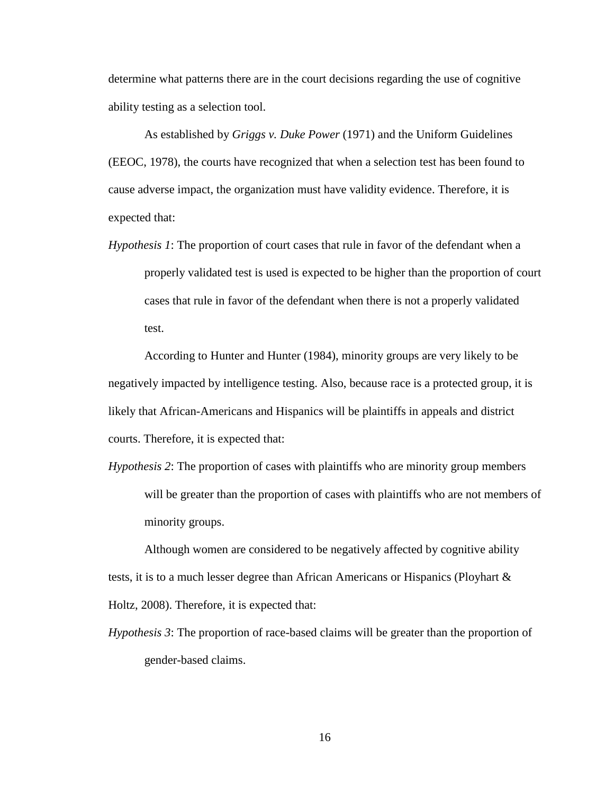determine what patterns there are in the court decisions regarding the use of cognitive ability testing as a selection tool.

As established by *Griggs v. Duke Power* (1971) and the Uniform Guidelines (EEOC, 1978), the courts have recognized that when a selection test has been found to cause adverse impact, the organization must have validity evidence. Therefore, it is expected that:

*Hypothesis 1*: The proportion of court cases that rule in favor of the defendant when a properly validated test is used is expected to be higher than the proportion of court cases that rule in favor of the defendant when there is not a properly validated test.

According to Hunter and Hunter (1984), minority groups are very likely to be negatively impacted by intelligence testing. Also, because race is a protected group, it is likely that African-Americans and Hispanics will be plaintiffs in appeals and district courts. Therefore, it is expected that:

*Hypothesis 2*: The proportion of cases with plaintiffs who are minority group members will be greater than the proportion of cases with plaintiffs who are not members of minority groups.

Although women are considered to be negatively affected by cognitive ability tests, it is to a much lesser degree than African Americans or Hispanics (Ployhart & Holtz, 2008). Therefore, it is expected that:

*Hypothesis 3*: The proportion of race-based claims will be greater than the proportion of gender-based claims.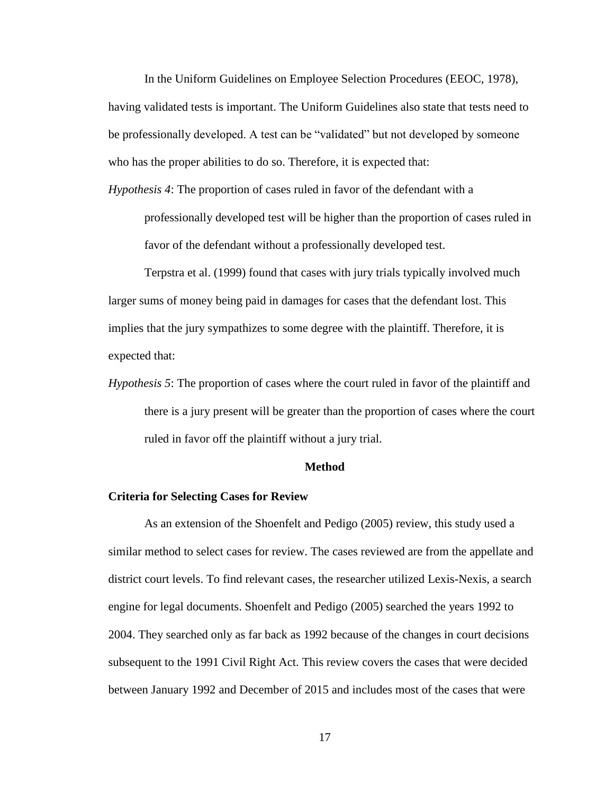In the Uniform Guidelines on Employee Selection Procedures (EEOC, 1978), having validated tests is important. The Uniform Guidelines also state that tests need to be professionally developed. A test can be "validated" but not developed by someone who has the proper abilities to do so. Therefore, it is expected that:

*Hypothesis 4*: The proportion of cases ruled in favor of the defendant with a

professionally developed test will be higher than the proportion of cases ruled in favor of the defendant without a professionally developed test.

Terpstra et al. (1999) found that cases with jury trials typically involved much larger sums of money being paid in damages for cases that the defendant lost. This implies that the jury sympathizes to some degree with the plaintiff. Therefore, it is expected that:

*Hypothesis 5*: The proportion of cases where the court ruled in favor of the plaintiff and there is a jury present will be greater than the proportion of cases where the court ruled in favor off the plaintiff without a jury trial.

### **Method**

### <span id="page-23-0"></span>**Criteria for Selecting Cases for Review**

As an extension of the Shoenfelt and Pedigo (2005) review, this study used a similar method to select cases for review. The cases reviewed are from the appellate and district court levels. To find relevant cases, the researcher utilized Lexis-Nexis, a search engine for legal documents. Shoenfelt and Pedigo (2005) searched the years 1992 to 2004. They searched only as far back as 1992 because of the changes in court decisions subsequent to the 1991 Civil Right Act. This review covers the cases that were decided between January 1992 and December of 2015 and includes most of the cases that were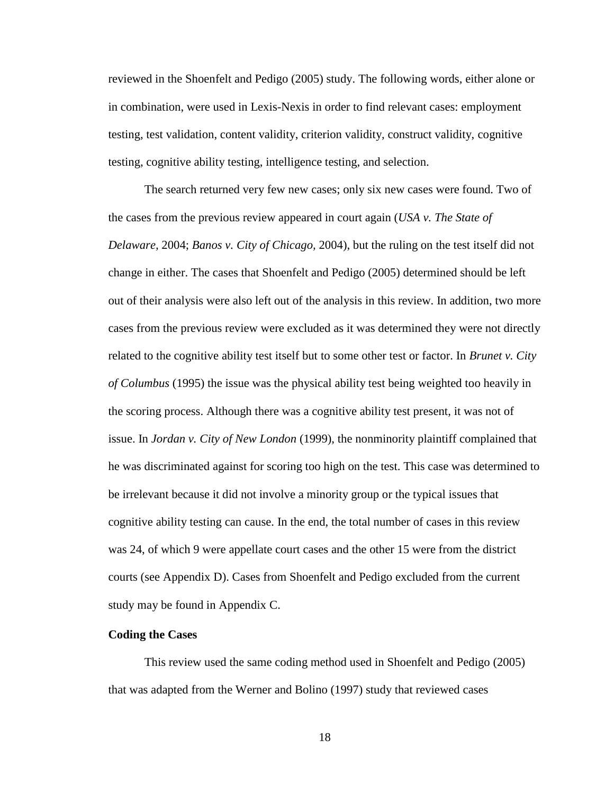reviewed in the Shoenfelt and Pedigo (2005) study. The following words, either alone or in combination, were used in Lexis-Nexis in order to find relevant cases: employment testing, test validation, content validity, criterion validity, construct validity, cognitive testing, cognitive ability testing, intelligence testing, and selection.

The search returned very few new cases; only six new cases were found. Two of the cases from the previous review appeared in court again (*USA v. The State of Delaware,* 2004; *Banos v. City of Chicago,* 2004), but the ruling on the test itself did not change in either. The cases that Shoenfelt and Pedigo (2005) determined should be left out of their analysis were also left out of the analysis in this review. In addition, two more cases from the previous review were excluded as it was determined they were not directly related to the cognitive ability test itself but to some other test or factor. In *Brunet v. City of Columbus* (1995) the issue was the physical ability test being weighted too heavily in the scoring process. Although there was a cognitive ability test present, it was not of issue. In *Jordan v. City of New London* (1999), the nonminority plaintiff complained that he was discriminated against for scoring too high on the test. This case was determined to be irrelevant because it did not involve a minority group or the typical issues that cognitive ability testing can cause. In the end, the total number of cases in this review was 24, of which 9 were appellate court cases and the other 15 were from the district courts (see Appendix D). Cases from Shoenfelt and Pedigo excluded from the current study may be found in Appendix C.

### <span id="page-24-0"></span>**Coding the Cases**

This review used the same coding method used in Shoenfelt and Pedigo (2005) that was adapted from the Werner and Bolino (1997) study that reviewed cases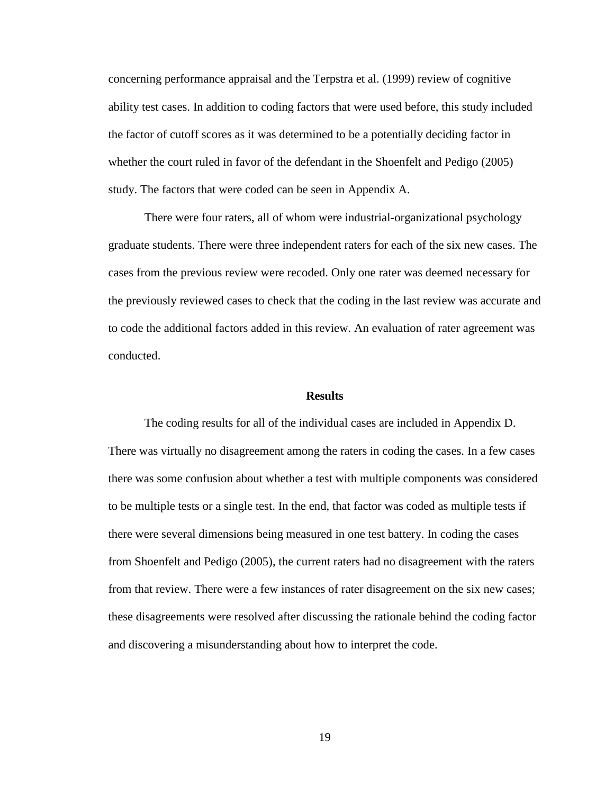concerning performance appraisal and the Terpstra et al. (1999) review of cognitive ability test cases. In addition to coding factors that were used before, this study included the factor of cutoff scores as it was determined to be a potentially deciding factor in whether the court ruled in favor of the defendant in the Shoenfelt and Pedigo (2005) study. The factors that were coded can be seen in Appendix A.

There were four raters, all of whom were industrial-organizational psychology graduate students. There were three independent raters for each of the six new cases. The cases from the previous review were recoded. Only one rater was deemed necessary for the previously reviewed cases to check that the coding in the last review was accurate and to code the additional factors added in this review. An evaluation of rater agreement was conducted.

#### **Results**

<span id="page-25-0"></span>The coding results for all of the individual cases are included in Appendix D. There was virtually no disagreement among the raters in coding the cases. In a few cases there was some confusion about whether a test with multiple components was considered to be multiple tests or a single test. In the end, that factor was coded as multiple tests if there were several dimensions being measured in one test battery. In coding the cases from Shoenfelt and Pedigo (2005), the current raters had no disagreement with the raters from that review. There were a few instances of rater disagreement on the six new cases; these disagreements were resolved after discussing the rationale behind the coding factor and discovering a misunderstanding about how to interpret the code.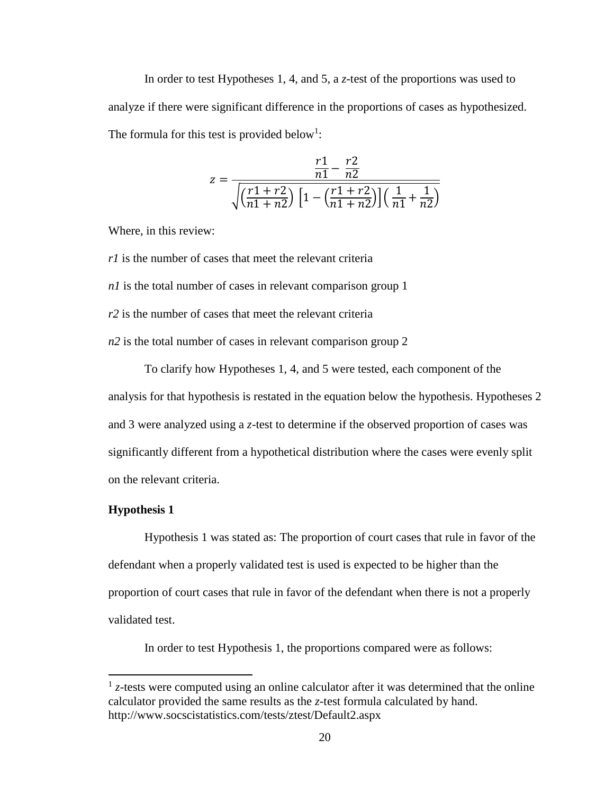In order to test Hypotheses 1, 4, and 5, a *z*-test of the proportions was used to analyze if there were significant difference in the proportions of cases as hypothesized. The formula for this test is provided below<sup>1</sup>:

$$
z = \frac{\frac{r1}{n1} - \frac{r2}{n2}}{\sqrt{\left(\frac{r1 + r2}{n1 + n2}\right) \left[1 - \left(\frac{r1 + r2}{n1 + n2}\right)\right] \left(\frac{1}{n1} + \frac{1}{n2}\right)}}
$$

Where, in this review:

*r1* is the number of cases that meet the relevant criteria *n1* is the total number of cases in relevant comparison group 1 *r2* is the number of cases that meet the relevant criteria *n2* is the total number of cases in relevant comparison group 2

To clarify how Hypotheses 1, 4, and 5 were tested, each component of the analysis for that hypothesis is restated in the equation below the hypothesis. Hypotheses 2 and 3 were analyzed using a *z*-test to determine if the observed proportion of cases was significantly different from a hypothetical distribution where the cases were evenly split on the relevant criteria.

### <span id="page-26-0"></span>**Hypothesis 1**

 $\overline{\phantom{a}}$ 

Hypothesis 1 was stated as: The proportion of court cases that rule in favor of the defendant when a properly validated test is used is expected to be higher than the proportion of court cases that rule in favor of the defendant when there is not a properly validated test.

In order to test Hypothesis 1, the proportions compared were as follows:

 $<sup>1</sup>$  z-tests were computed using an online calculator after it was determined that the online</sup> calculator provided the same results as the *z*-test formula calculated by hand. http://www.socscistatistics.com/tests/ztest/Default2.aspx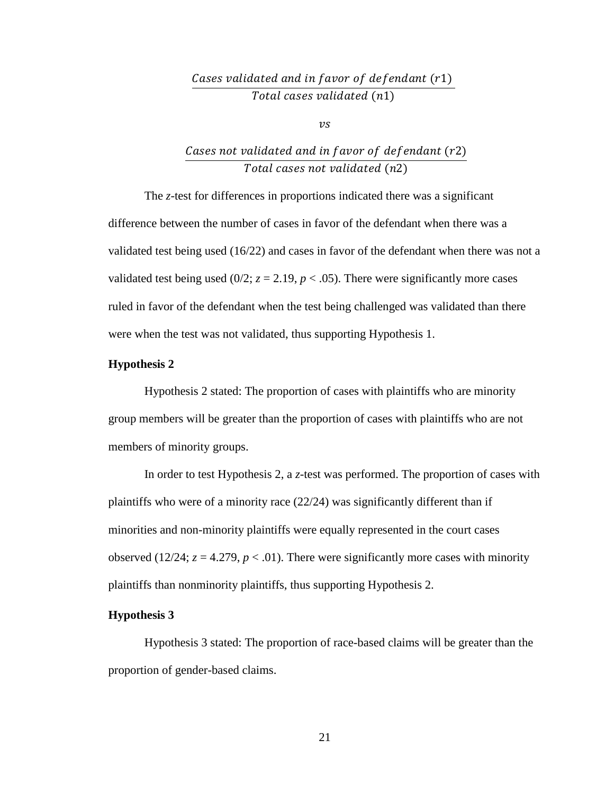# Cases validated and in favor of defendant  $(r1)$ Total cases validated (n1)

 $\mathcal{V}S$ 

# Cases not validated and in favor of defendant  $(r2)$ Total cases not validated (n2)

The *z*-test for differences in proportions indicated there was a significant difference between the number of cases in favor of the defendant when there was a validated test being used (16/22) and cases in favor of the defendant when there was not a validated test being used  $(0/2; z = 2.19, p < .05)$ . There were significantly more cases ruled in favor of the defendant when the test being challenged was validated than there were when the test was not validated, thus supporting Hypothesis 1.

## <span id="page-27-0"></span>**Hypothesis 2**

Hypothesis 2 stated: The proportion of cases with plaintiffs who are minority group members will be greater than the proportion of cases with plaintiffs who are not members of minority groups.

In order to test Hypothesis 2, a *z*-test was performed. The proportion of cases with plaintiffs who were of a minority race  $(22/24)$  was significantly different than if minorities and non-minority plaintiffs were equally represented in the court cases observed (12/24;  $z = 4.279$ ,  $p < .01$ ). There were significantly more cases with minority plaintiffs than nonminority plaintiffs, thus supporting Hypothesis 2.

### <span id="page-27-1"></span>**Hypothesis 3**

Hypothesis 3 stated: The proportion of race-based claims will be greater than the proportion of gender-based claims.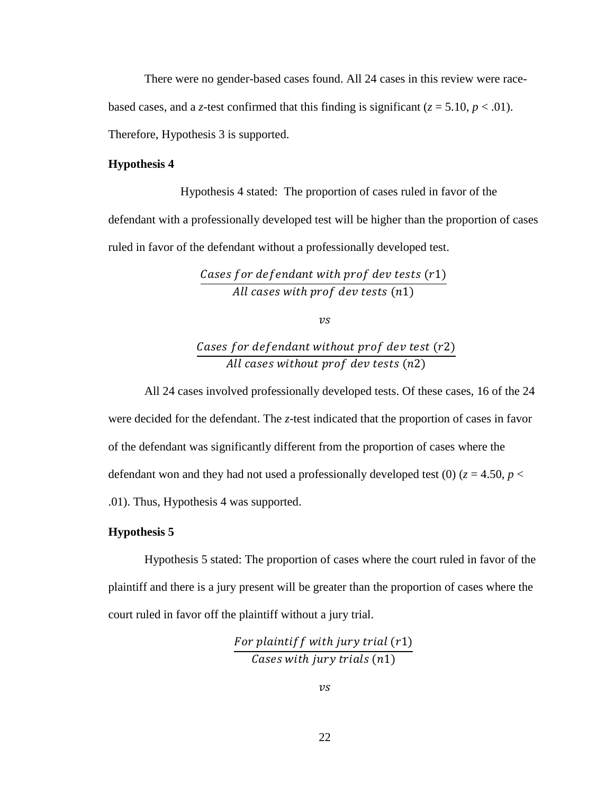There were no gender-based cases found. All 24 cases in this review were racebased cases, and a *z*-test confirmed that this finding is significant ( $z = 5.10$ ,  $p < .01$ ). Therefore, Hypothesis 3 is supported.

### <span id="page-28-0"></span>**Hypothesis 4**

Hypothesis 4 stated: The proportion of cases ruled in favor of the defendant with a professionally developed test will be higher than the proportion of cases ruled in favor of the defendant without a professionally developed test.

> Cases for defendant with prof dev tests  $(r1)$ All cases with prof dev tests  $(n1)$

> > $\mathcal{V}S$

# Cases for defendant without prof dev test  $(r2)$ All cases without prof dev tests (n2)

All 24 cases involved professionally developed tests. Of these cases, 16 of the 24 were decided for the defendant. The *z*-test indicated that the proportion of cases in favor of the defendant was significantly different from the proportion of cases where the defendant won and they had not used a professionally developed test (0) ( $z = 4.50$ ,  $p <$ .01). Thus, Hypothesis 4 was supported.

# <span id="page-28-1"></span>**Hypothesis 5**

Hypothesis 5 stated: The proportion of cases where the court ruled in favor of the plaintiff and there is a jury present will be greater than the proportion of cases where the court ruled in favor off the plaintiff without a jury trial.

> For plaintiff with jury trial  $(r1)$ Cases with jury trials  $(n1)$

> > $\mathcal{V}S$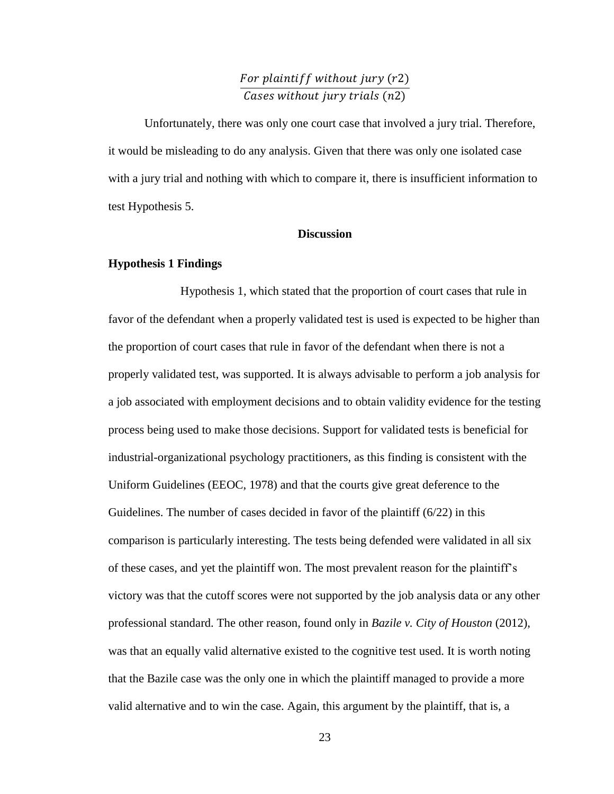# For plaintiff without jury  $(r2)$ Cases without jury trials (n2)

Unfortunately, there was only one court case that involved a jury trial. Therefore, it would be misleading to do any analysis. Given that there was only one isolated case with a jury trial and nothing with which to compare it, there is insufficient information to test Hypothesis 5.

### **Discussion**

### <span id="page-29-1"></span><span id="page-29-0"></span>**Hypothesis 1 Findings**

Hypothesis 1, which stated that the proportion of court cases that rule in favor of the defendant when a properly validated test is used is expected to be higher than the proportion of court cases that rule in favor of the defendant when there is not a properly validated test, was supported. It is always advisable to perform a job analysis for a job associated with employment decisions and to obtain validity evidence for the testing process being used to make those decisions. Support for validated tests is beneficial for industrial-organizational psychology practitioners, as this finding is consistent with the Uniform Guidelines (EEOC, 1978) and that the courts give great deference to the Guidelines. The number of cases decided in favor of the plaintiff (6/22) in this comparison is particularly interesting. The tests being defended were validated in all six of these cases, and yet the plaintiff won. The most prevalent reason for the plaintiff's victory was that the cutoff scores were not supported by the job analysis data or any other professional standard. The other reason, found only in *Bazile v. City of Houston* (2012), was that an equally valid alternative existed to the cognitive test used. It is worth noting that the Bazile case was the only one in which the plaintiff managed to provide a more valid alternative and to win the case. Again, this argument by the plaintiff, that is, a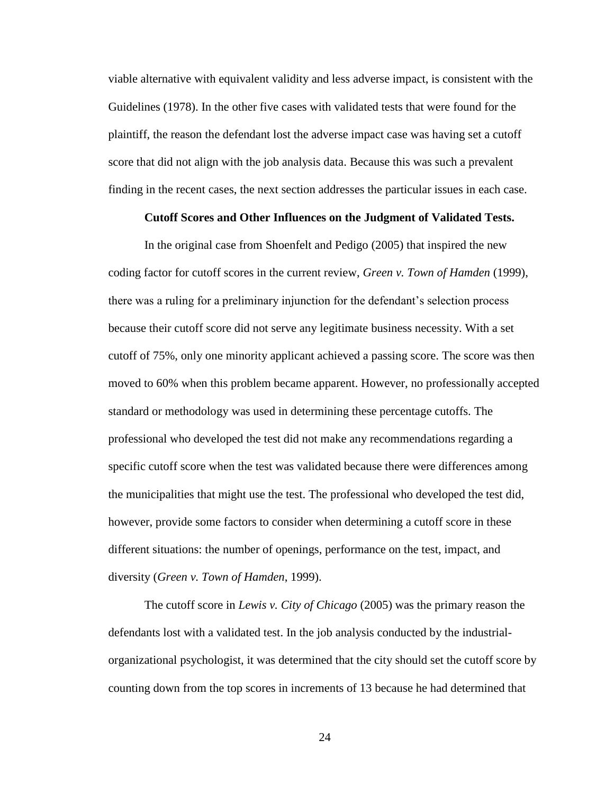viable alternative with equivalent validity and less adverse impact, is consistent with the Guidelines (1978). In the other five cases with validated tests that were found for the plaintiff, the reason the defendant lost the adverse impact case was having set a cutoff score that did not align with the job analysis data. Because this was such a prevalent finding in the recent cases, the next section addresses the particular issues in each case.

### **Cutoff Scores and Other Influences on the Judgment of Validated Tests.**

In the original case from Shoenfelt and Pedigo (2005) that inspired the new coding factor for cutoff scores in the current review, *Green v. Town of Hamden* (1999), there was a ruling for a preliminary injunction for the defendant's selection process because their cutoff score did not serve any legitimate business necessity. With a set cutoff of 75%, only one minority applicant achieved a passing score. The score was then moved to 60% when this problem became apparent. However, no professionally accepted standard or methodology was used in determining these percentage cutoffs. The professional who developed the test did not make any recommendations regarding a specific cutoff score when the test was validated because there were differences among the municipalities that might use the test. The professional who developed the test did, however, provide some factors to consider when determining a cutoff score in these different situations: the number of openings, performance on the test, impact, and diversity (*Green v. Town of Hamden*, 1999).

The cutoff score in *Lewis v. City of Chicago* (2005) was the primary reason the defendants lost with a validated test. In the job analysis conducted by the industrialorganizational psychologist, it was determined that the city should set the cutoff score by counting down from the top scores in increments of 13 because he had determined that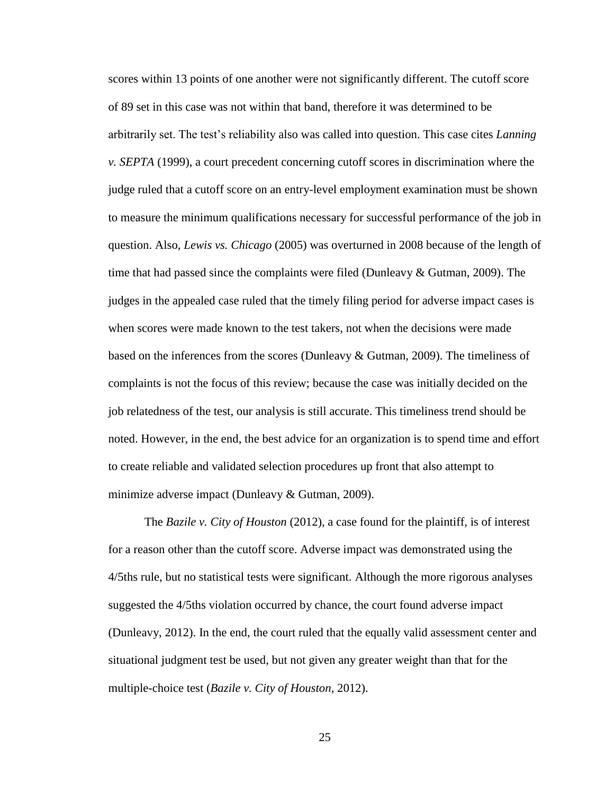scores within 13 points of one another were not significantly different. The cutoff score of 89 set in this case was not within that band, therefore it was determined to be arbitrarily set. The test's reliability also was called into question. This case cites *Lanning v. SEPTA* (1999), a court precedent concerning cutoff scores in discrimination where the judge ruled that a cutoff score on an entry-level employment examination must be shown to measure the minimum qualifications necessary for successful performance of the job in question. Also, *Lewis vs. Chicago* (2005) was overturned in 2008 because of the length of time that had passed since the complaints were filed (Dunleavy  $\&$  Gutman, 2009). The judges in the appealed case ruled that the timely filing period for adverse impact cases is when scores were made known to the test takers, not when the decisions were made based on the inferences from the scores (Dunleavy & Gutman, 2009). The timeliness of complaints is not the focus of this review; because the case was initially decided on the job relatedness of the test, our analysis is still accurate. This timeliness trend should be noted. However, in the end, the best advice for an organization is to spend time and effort to create reliable and validated selection procedures up front that also attempt to minimize adverse impact (Dunleavy & Gutman, 2009).

The *Bazile v. City of Houston* (2012), a case found for the plaintiff, is of interest for a reason other than the cutoff score. Adverse impact was demonstrated using the 4/5ths rule, but no statistical tests were significant. Although the more rigorous analyses suggested the 4/5ths violation occurred by chance, the court found adverse impact (Dunleavy, 2012). In the end, the court ruled that the equally valid assessment center and situational judgment test be used, but not given any greater weight than that for the multiple-choice test (*Bazile v. City of Houston*, 2012).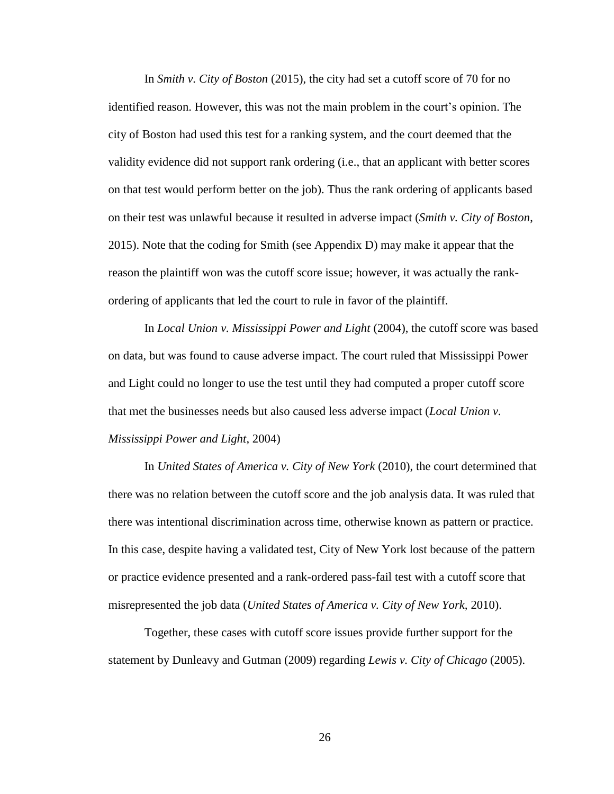In *Smith v. City of Boston* (2015), the city had set a cutoff score of 70 for no identified reason. However, this was not the main problem in the court's opinion. The city of Boston had used this test for a ranking system, and the court deemed that the validity evidence did not support rank ordering (i.e., that an applicant with better scores on that test would perform better on the job). Thus the rank ordering of applicants based on their test was unlawful because it resulted in adverse impact (*Smith v. City of Boston*, 2015). Note that the coding for Smith (see Appendix D) may make it appear that the reason the plaintiff won was the cutoff score issue; however, it was actually the rankordering of applicants that led the court to rule in favor of the plaintiff.

In *Local Union v. Mississippi Power and Light* (2004), the cutoff score was based on data, but was found to cause adverse impact. The court ruled that Mississippi Power and Light could no longer to use the test until they had computed a proper cutoff score that met the businesses needs but also caused less adverse impact (*Local Union v. Mississippi Power and Light*, 2004)

In *United States of America v. City of New York* (2010), the court determined that there was no relation between the cutoff score and the job analysis data. It was ruled that there was intentional discrimination across time, otherwise known as pattern or practice. In this case, despite having a validated test, City of New York lost because of the pattern or practice evidence presented and a rank-ordered pass-fail test with a cutoff score that misrepresented the job data (*United States of America v. City of New York,* 2010).

Together, these cases with cutoff score issues provide further support for the statement by Dunleavy and Gutman (2009) regarding *Lewis v. City of Chicago* (2005).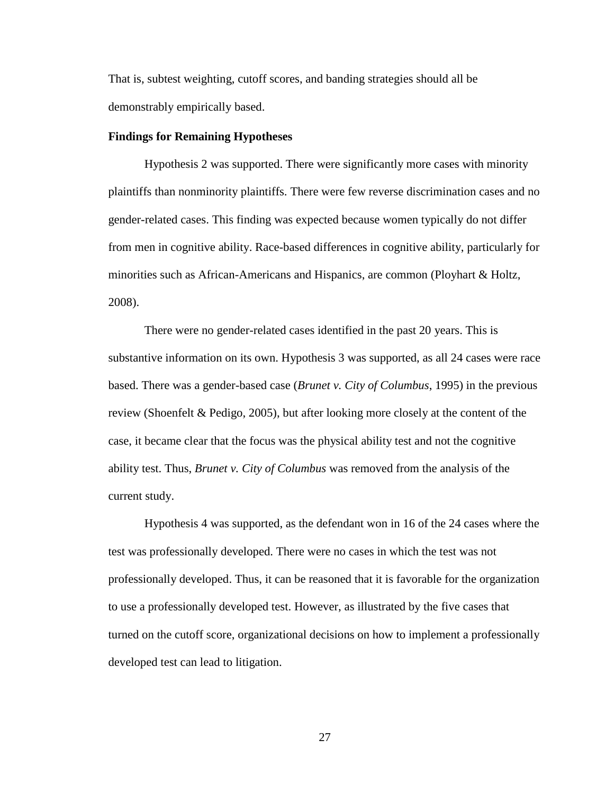That is, subtest weighting, cutoff scores, and banding strategies should all be demonstrably empirically based.

#### <span id="page-33-0"></span>**Findings for Remaining Hypotheses**

Hypothesis 2 was supported. There were significantly more cases with minority plaintiffs than nonminority plaintiffs. There were few reverse discrimination cases and no gender-related cases. This finding was expected because women typically do not differ from men in cognitive ability. Race-based differences in cognitive ability, particularly for minorities such as African-Americans and Hispanics, are common (Ployhart & Holtz, 2008).

There were no gender-related cases identified in the past 20 years. This is substantive information on its own. Hypothesis 3 was supported, as all 24 cases were race based. There was a gender-based case (*Brunet v. City of Columbus*, 1995) in the previous review (Shoenfelt & Pedigo, 2005), but after looking more closely at the content of the case, it became clear that the focus was the physical ability test and not the cognitive ability test. Thus, *Brunet v. City of Columbus* was removed from the analysis of the current study.

Hypothesis 4 was supported, as the defendant won in 16 of the 24 cases where the test was professionally developed. There were no cases in which the test was not professionally developed. Thus, it can be reasoned that it is favorable for the organization to use a professionally developed test. However, as illustrated by the five cases that turned on the cutoff score, organizational decisions on how to implement a professionally developed test can lead to litigation.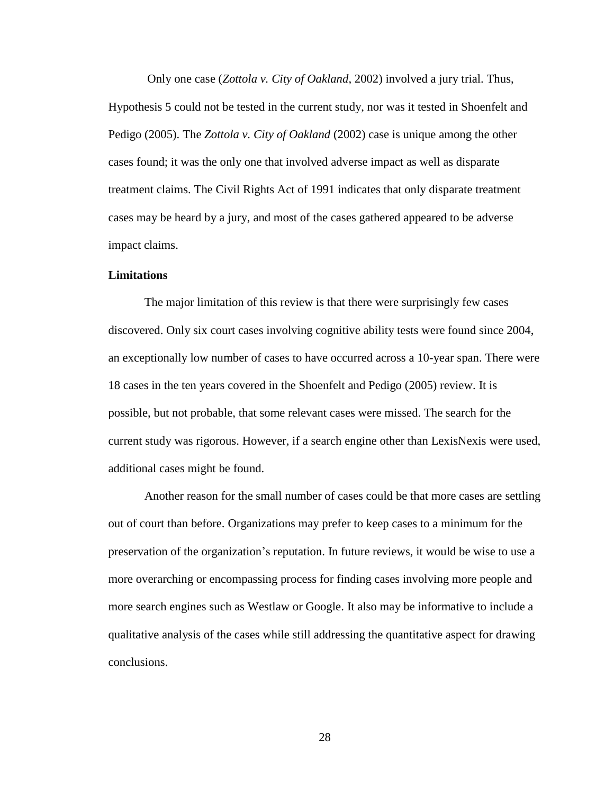Only one case (*Zottola v. City of Oakland*, 2002) involved a jury trial. Thus, Hypothesis 5 could not be tested in the current study, nor was it tested in Shoenfelt and Pedigo (2005). The *Zottola v. City of Oakland* (2002) case is unique among the other cases found; it was the only one that involved adverse impact as well as disparate treatment claims. The Civil Rights Act of 1991 indicates that only disparate treatment cases may be heard by a jury, and most of the cases gathered appeared to be adverse impact claims.

#### <span id="page-34-0"></span>**Limitations**

The major limitation of this review is that there were surprisingly few cases discovered. Only six court cases involving cognitive ability tests were found since 2004, an exceptionally low number of cases to have occurred across a 10-year span. There were 18 cases in the ten years covered in the Shoenfelt and Pedigo (2005) review. It is possible, but not probable, that some relevant cases were missed. The search for the current study was rigorous. However, if a search engine other than LexisNexis were used, additional cases might be found.

Another reason for the small number of cases could be that more cases are settling out of court than before. Organizations may prefer to keep cases to a minimum for the preservation of the organization's reputation. In future reviews, it would be wise to use a more overarching or encompassing process for finding cases involving more people and more search engines such as Westlaw or Google. It also may be informative to include a qualitative analysis of the cases while still addressing the quantitative aspect for drawing conclusions.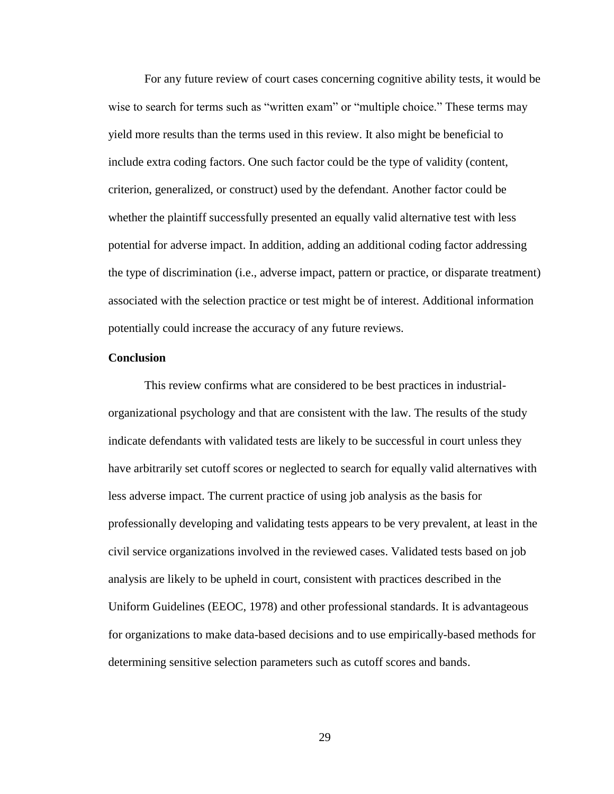For any future review of court cases concerning cognitive ability tests, it would be wise to search for terms such as "written exam" or "multiple choice." These terms may yield more results than the terms used in this review. It also might be beneficial to include extra coding factors. One such factor could be the type of validity (content, criterion, generalized, or construct) used by the defendant. Another factor could be whether the plaintiff successfully presented an equally valid alternative test with less potential for adverse impact. In addition, adding an additional coding factor addressing the type of discrimination (i.e., adverse impact, pattern or practice, or disparate treatment) associated with the selection practice or test might be of interest. Additional information potentially could increase the accuracy of any future reviews.

### <span id="page-35-0"></span>**Conclusion**

This review confirms what are considered to be best practices in industrialorganizational psychology and that are consistent with the law. The results of the study indicate defendants with validated tests are likely to be successful in court unless they have arbitrarily set cutoff scores or neglected to search for equally valid alternatives with less adverse impact. The current practice of using job analysis as the basis for professionally developing and validating tests appears to be very prevalent, at least in the civil service organizations involved in the reviewed cases. Validated tests based on job analysis are likely to be upheld in court, consistent with practices described in the Uniform Guidelines (EEOC, 1978) and other professional standards. It is advantageous for organizations to make data-based decisions and to use empirically-based methods for determining sensitive selection parameters such as cutoff scores and bands.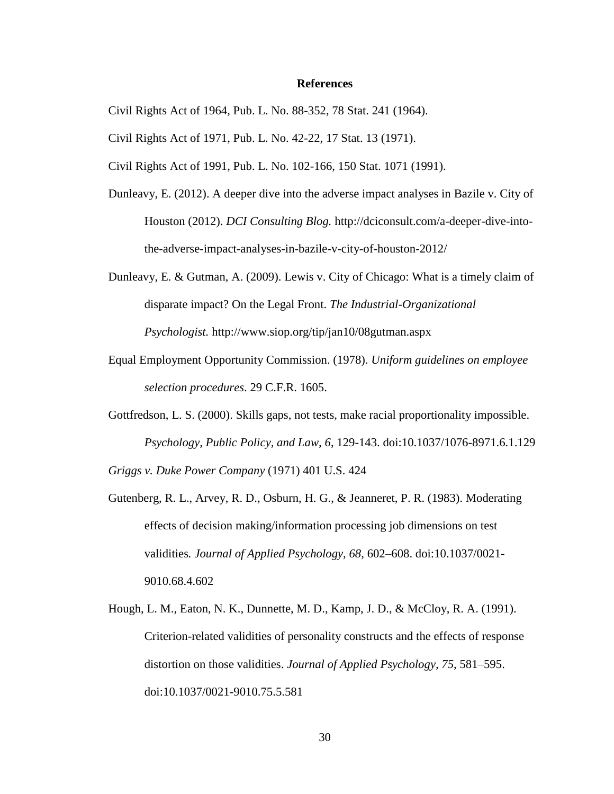#### **References**

- <span id="page-36-0"></span>Civil Rights Act of 1964, Pub. L. No. 88-352, 78 Stat. 241 (1964).
- Civil Rights Act of 1971, Pub. L. No. 42-22, 17 Stat. 13 (1971).
- Civil Rights Act of 1991, Pub. L. No. 102-166, 150 Stat. 1071 (1991).
- Dunleavy, E. (2012). A deeper dive into the adverse impact analyses in Bazile v. City of Houston (2012). *DCI Consulting Blog.* http://dciconsult.com/a-deeper-dive-intothe-adverse-impact-analyses-in-bazile-v-city-of-houston-2012/
- Dunleavy, E. & Gutman, A. (2009). Lewis v. City of Chicago: What is a timely claim of disparate impact? On the Legal Front. *The Industrial-Organizational Psychologist.* http://www.siop.org/tip/jan10/08gutman.aspx
- Equal Employment Opportunity Commission. (1978). *Uniform guidelines on employee selection procedures*. 29 C.F.R. 1605.
- Gottfredson, L. S. (2000). Skills gaps, not tests, make racial proportionality impossible. *Psychology, Public Policy, and Law, 6*, 129-143. doi:10.1037/1076-8971.6.1.129

*Griggs v. Duke Power Company* (1971) 401 U.S. 424

- Gutenberg, R. L., Arvey, R. D., Osburn, H. G., & Jeanneret, P. R. (1983). Moderating effects of decision making/information processing job dimensions on test validities*. Journal of Applied Psychology, 68,* 602–608. doi:10.1037/0021- 9010.68.4.602
- Hough, L. M., Eaton, N. K., Dunnette, M. D., Kamp, J. D., & McCloy, R. A. (1991). Criterion-related validities of personality constructs and the effects of response distortion on those validities. *Journal of Applied Psychology, 75*, 581–595. doi:10.1037/0021-9010.75.5.581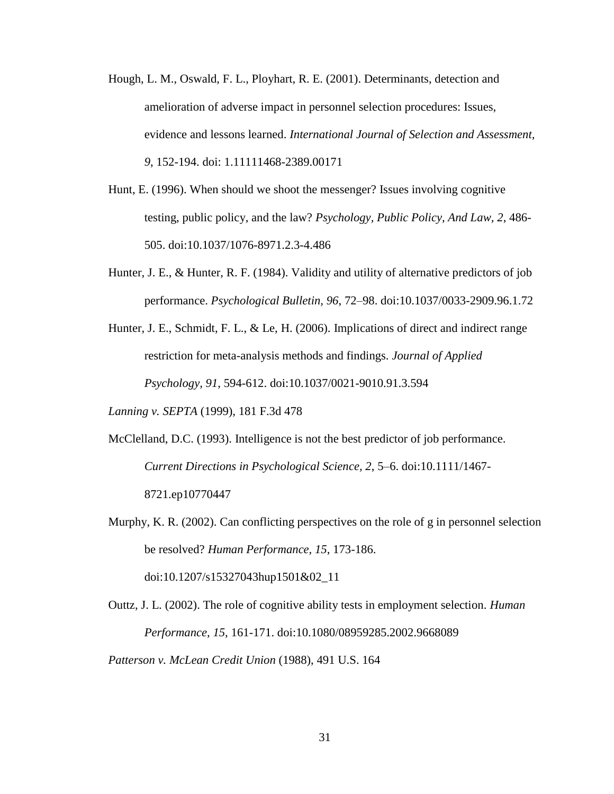- Hough, L. M., Oswald, F. L., Ployhart, R. E. (2001). Determinants, detection and amelioration of adverse impact in personnel selection procedures: Issues, evidence and lessons learned. *International Journal of Selection and Assessment, 9*, 152-194. doi: 1.11111468-2389.00171
- Hunt, E. (1996). When should we shoot the messenger? Issues involving cognitive testing, public policy, and the law? *Psychology, Public Policy, And Law, 2*, 486- 505. doi:10.1037/1076-8971.2.3-4.486
- Hunter, J. E., & Hunter, R. F. (1984). Validity and utility of alternative predictors of job performance. *Psychological Bulletin, 96*, 72–98. doi:10.1037/0033-2909.96.1.72
- Hunter, J. E., Schmidt, F. L., & Le, H. (2006). Implications of direct and indirect range restriction for meta-analysis methods and findings. *Journal of Applied Psychology, 91*, 594-612. doi:10.1037/0021-9010.91.3.594

*Lanning v. SEPTA* (1999), 181 F.3d 478

- McClelland, D.C. (1993). Intelligence is not the best predictor of job performance. *Current Directions in Psychological Science, 2*, 5–6. doi:10.1111/1467- 8721.ep10770447
- Murphy, K. R. (2002). Can conflicting perspectives on the role of g in personnel selection be resolved? *Human Performance, 15*, 173-186.

doi:10.1207/s15327043hup1501&02\_11

Outtz, J. L. (2002). The role of cognitive ability tests in employment selection. *Human Performance, 15,* 161-171. doi:10.1080/08959285.2002.9668089 *Patterson v. McLean Credit Union* (1988), 491 U.S. 164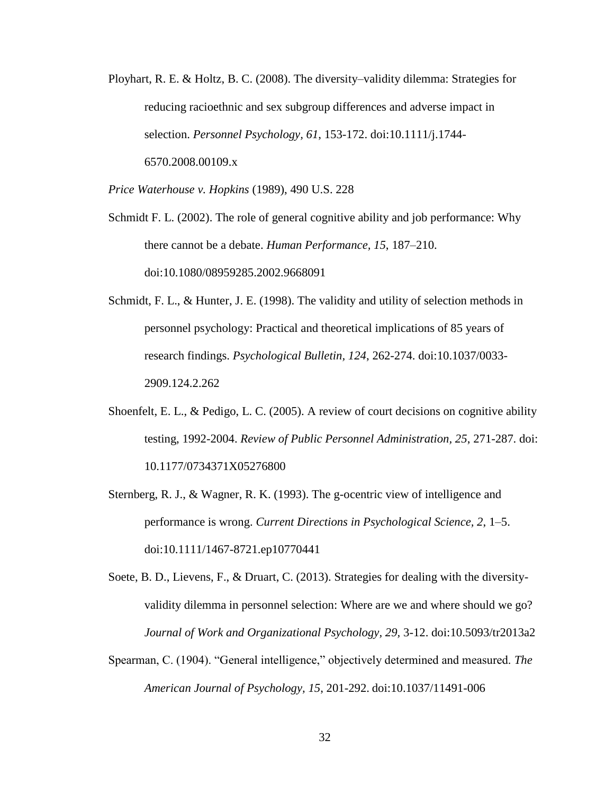Ployhart, R. E. & Holtz, B. C. (2008). The diversity–validity dilemma: Strategies for reducing racioethnic and sex subgroup differences and adverse impact in selection. *Personnel Psychology, 61*, 153-172. doi:10.1111/j.1744- 6570.2008.00109.x

*Price Waterhouse v. Hopkins* (1989), 490 U.S. 228

Schmidt F. L. (2002). The role of general cognitive ability and job performance: Why there cannot be a debate. *Human Performance, 15*, 187–210. doi:10.1080/08959285.2002.9668091

Schmidt, F. L., & Hunter, J. E. (1998). The validity and utility of selection methods in personnel psychology: Practical and theoretical implications of 85 years of research findings. *Psychological Bulletin, 124*, 262-274. doi:10.1037/0033- 2909.124.2.262

- Shoenfelt, E. L., & Pedigo, L. C. (2005). A review of court decisions on cognitive ability testing, 1992-2004. *Review of Public Personnel Administration, 25*, 271-287. doi: 10.1177/0734371X05276800
- Sternberg, R. J., & Wagner, R. K. (1993). The g-ocentric view of intelligence and performance is wrong. *Current Directions in Psychological Science, 2*, 1–5. doi:10.1111/1467-8721.ep10770441

Soete, B. D., Lievens, F., & Druart, C. (2013). Strategies for dealing with the diversityvalidity dilemma in personnel selection: Where are we and where should we go? *Journal of Work and Organizational Psychology, 29,* 3-12. doi:10.5093/tr2013a2

Spearman, C. (1904). "General intelligence," objectively determined and measured. *The American Journal of Psychology, 15*, 201-292. doi:10.1037/11491-006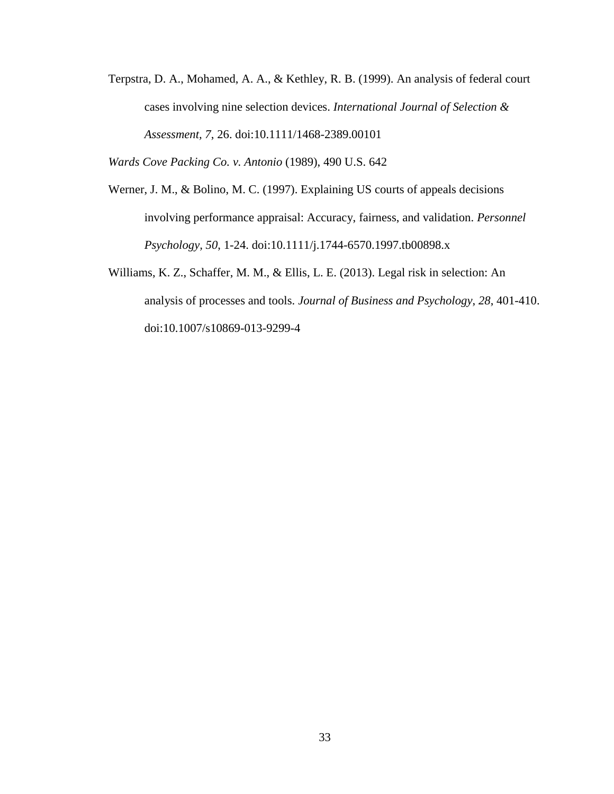Terpstra, D. A., Mohamed, A. A., & Kethley, R. B. (1999). An analysis of federal court cases involving nine selection devices. *International Journal of Selection & Assessment, 7*, 26. doi:10.1111/1468-2389.00101

*Wards Cove Packing Co. v. Antonio* (1989), 490 U.S. 642

- Werner, J. M., & Bolino, M. C. (1997). Explaining US courts of appeals decisions involving performance appraisal: Accuracy, fairness, and validation. *Personnel Psychology, 50*, 1-24. doi:10.1111/j.1744-6570.1997.tb00898.x
- Williams, K. Z., Schaffer, M. M., & Ellis, L. E. (2013). Legal risk in selection: An analysis of processes and tools. *Journal of Business and Psychology*, *28*, 401-410. doi:10.1007/s10869-013-9299-4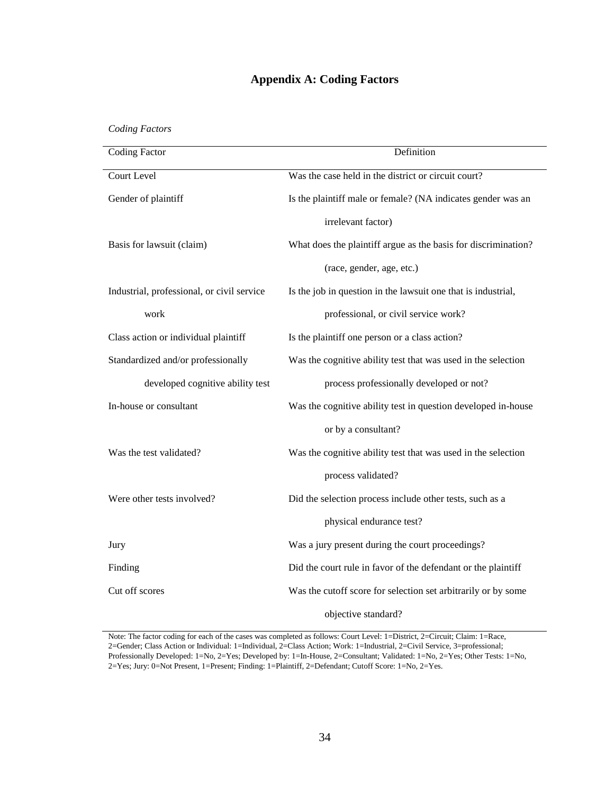# **Appendix A: Coding Factors**

<span id="page-40-0"></span>*Coding Factors*

| <b>Coding Factor</b>                       | Definition                                                     |  |  |  |  |  |
|--------------------------------------------|----------------------------------------------------------------|--|--|--|--|--|
| <b>Court Level</b>                         | Was the case held in the district or circuit court?            |  |  |  |  |  |
| Gender of plaintiff                        | Is the plaintiff male or female? (NA indicates gender was an   |  |  |  |  |  |
|                                            | irrelevant factor)                                             |  |  |  |  |  |
| Basis for lawsuit (claim)                  | What does the plaintiff argue as the basis for discrimination? |  |  |  |  |  |
|                                            | (race, gender, age, etc.)                                      |  |  |  |  |  |
| Industrial, professional, or civil service | Is the job in question in the lawsuit one that is industrial,  |  |  |  |  |  |
| work                                       | professional, or civil service work?                           |  |  |  |  |  |
| Class action or individual plaintiff       | Is the plaintiff one person or a class action?                 |  |  |  |  |  |
| Standardized and/or professionally         | Was the cognitive ability test that was used in the selection  |  |  |  |  |  |
| developed cognitive ability test           | process professionally developed or not?                       |  |  |  |  |  |
| In-house or consultant                     | Was the cognitive ability test in question developed in-house  |  |  |  |  |  |
|                                            | or by a consultant?                                            |  |  |  |  |  |
| Was the test validated?                    | Was the cognitive ability test that was used in the selection  |  |  |  |  |  |
|                                            | process validated?                                             |  |  |  |  |  |
|                                            |                                                                |  |  |  |  |  |
| Were other tests involved?                 | Did the selection process include other tests, such as a       |  |  |  |  |  |
|                                            | physical endurance test?                                       |  |  |  |  |  |
| Jury                                       | Was a jury present during the court proceedings?               |  |  |  |  |  |
| Finding                                    | Did the court rule in favor of the defendant or the plaintiff  |  |  |  |  |  |
| Cut off scores                             | Was the cutoff score for selection set arbitrarily or by some  |  |  |  |  |  |
|                                            | objective standard?                                            |  |  |  |  |  |

Note: The factor coding for each of the cases was completed as follows: Court Level: 1=District, 2=Circuit; Claim: 1=Race, 2=Gender; Class Action or Individual: 1=Individual, 2=Class Action; Work: 1=Industrial, 2=Civil Service, 3=professional; Professionally Developed: 1=No, 2=Yes; Developed by: 1=In-House, 2=Consultant; Validated: 1=No, 2=Yes; Other Tests: 1=No, 2=Yes; Jury: 0=Not Present, 1=Present; Finding: 1=Plaintiff, 2=Defendant; Cutoff Score: 1=No, 2=Yes.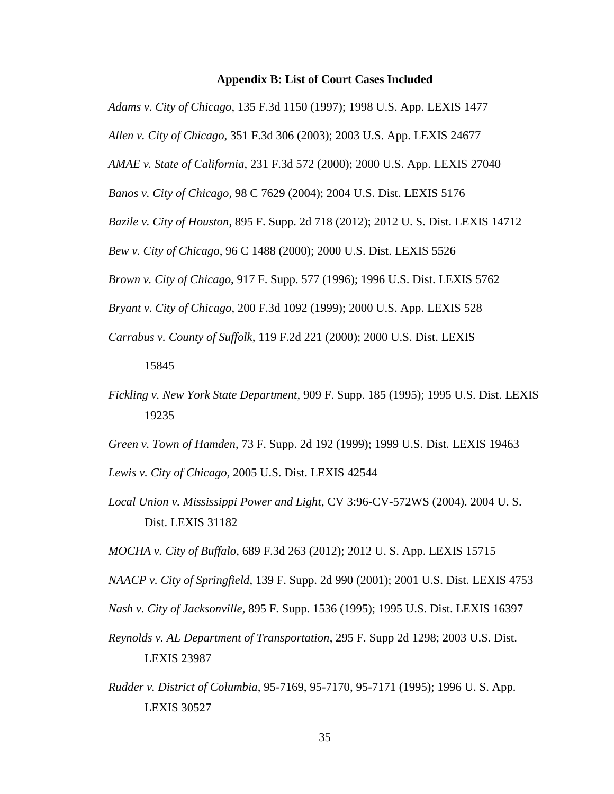### **Appendix B: List of Court Cases Included**

<span id="page-41-0"></span>*Adams v. City of Chicago*, 135 F.3d 1150 (1997); 1998 U.S. App. LEXIS 1477

*Allen v. City of Chicago*, 351 F.3d 306 (2003); 2003 U.S. App. LEXIS 24677

*AMAE v. State of California*, 231 F.3d 572 (2000); 2000 U.S. App. LEXIS 27040

*Banos v. City of Chicago*, 98 C 7629 (2004); 2004 U.S. Dist. LEXIS 5176

*Bazile v. City of Houston*, 895 F. Supp. 2d 718 (2012); 2012 U. S. Dist. LEXIS 14712

*Bew v. City of Chicago*, 96 C 1488 (2000); 2000 U.S. Dist. LEXIS 5526

*Brown v. City of Chicago*, 917 F. Supp. 577 (1996); 1996 U.S. Dist. LEXIS 5762

*Bryant v. City of Chicago*, 200 F.3d 1092 (1999); 2000 U.S. App. LEXIS 528

*Carrabus v. County of Suffolk*, 119 F.2d 221 (2000); 2000 U.S. Dist. LEXIS

### 15845

*Fickling v. New York State Department*, 909 F. Supp. 185 (1995); 1995 U.S. Dist. LEXIS 19235

*Green v. Town of Hamden*, 73 F. Supp. 2d 192 (1999); 1999 U.S. Dist. LEXIS 19463

*Lewis v. City of Chicago*, 2005 U.S. Dist. LEXIS 42544

*Local Union v. Mississippi Power and Light*, CV 3:96-CV-572WS (2004). 2004 U. S. Dist. LEXIS 31182

*MOCHA v. City of Buffalo*, 689 F.3d 263 (2012); 2012 U. S. App. LEXIS 15715

*NAACP v. City of Springfield*, 139 F. Supp. 2d 990 (2001); 2001 U.S. Dist. LEXIS 4753

- *Nash v. City of Jacksonville*, 895 F. Supp. 1536 (1995); 1995 U.S. Dist. LEXIS 16397
- *Reynolds v. AL Department of Transportation*, 295 F. Supp 2d 1298; 2003 U.S. Dist. LEXIS 23987
- *Rudder v. District of Columbia*, 95-7169, 95-7170, 95-7171 (1995); 1996 U. S. App. LEXIS 30527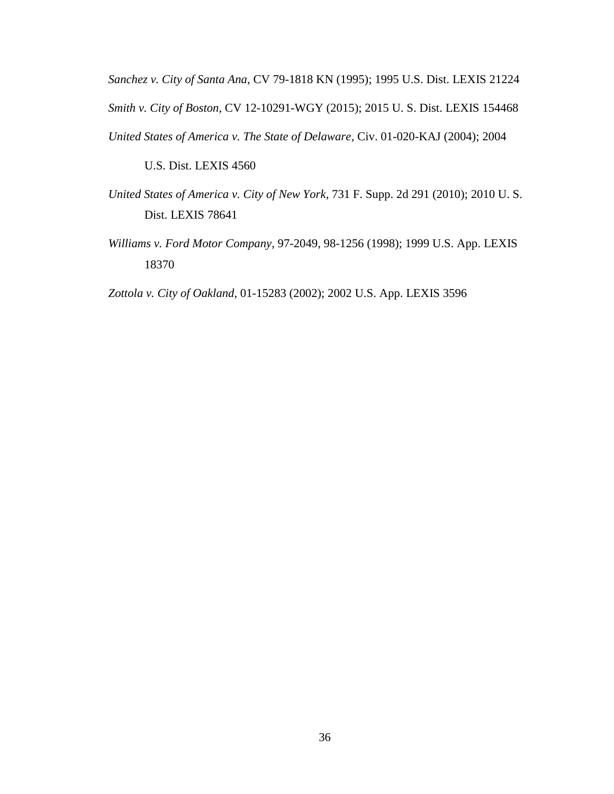*Sanchez v. City of Santa Ana*, CV 79-1818 KN (1995); 1995 U.S. Dist. LEXIS 21224 *Smith v. City of Boston*, CV 12-10291-WGY (2015); 2015 U. S. Dist. LEXIS 154468 *United States of America v. The State of Delaware*, Civ. 01-020-KAJ (2004); 2004

U.S. Dist. LEXIS 4560

- *United States of America v. City of New York*, 731 F. Supp. 2d 291 (2010); 2010 U. S. Dist. LEXIS 78641
- *Williams v. Ford Motor Company*, 97-2049, 98-1256 (1998); 1999 U.S. App. LEXIS 18370

*Zottola v. City of Oakland*, 01-15283 (2002); 2002 U.S. App. LEXIS 3596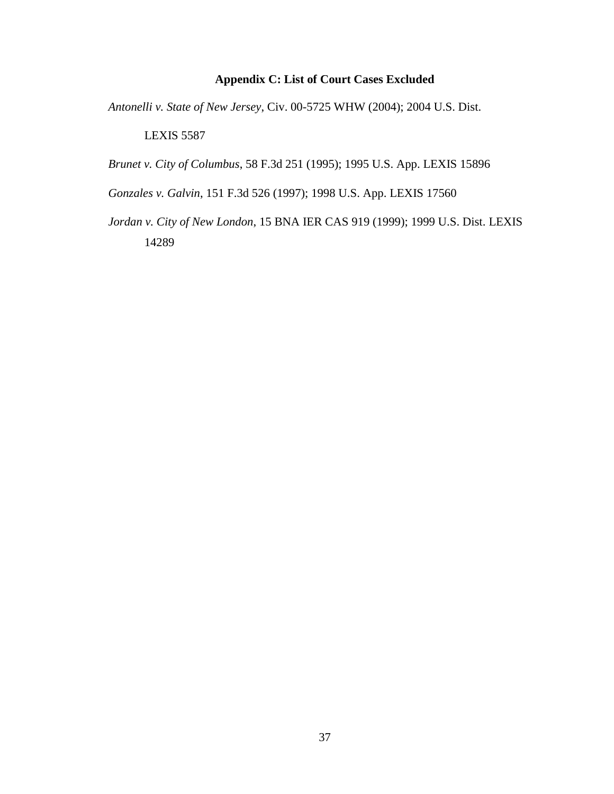# **Appendix C: List of Court Cases Excluded**

<span id="page-43-0"></span>*Antonelli v. State of New Jersey*, Civ. 00-5725 WHW (2004); 2004 U.S. Dist.

LEXIS 5587

*Brunet v. City of Columbus*, 58 F.3d 251 (1995); 1995 U.S. App. LEXIS 15896

*Gonzales v. Galvin*, 151 F.3d 526 (1997); 1998 U.S. App. LEXIS 17560

*Jordan v. City of New London*, 15 BNA IER CAS 919 (1999); 1999 U.S. Dist. LEXIS 14289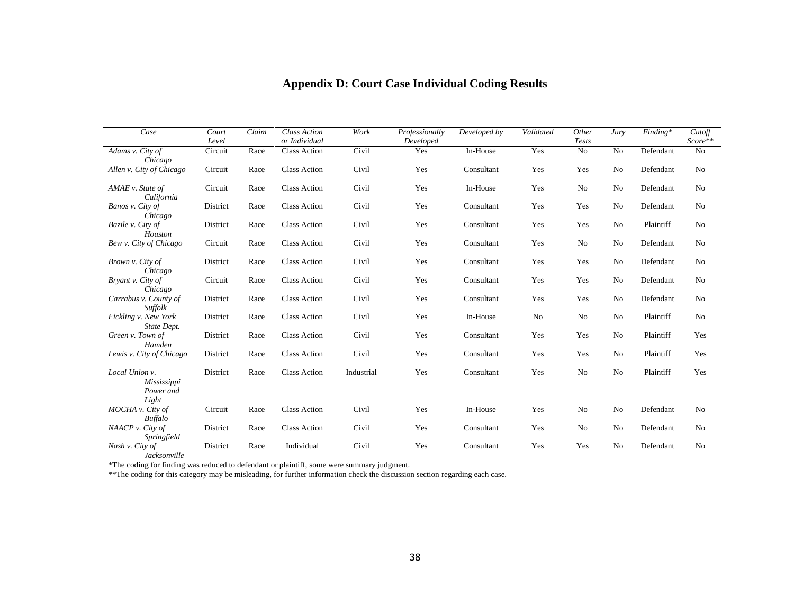<span id="page-44-0"></span>

| Case                                                | Court<br>Level | Claim | <b>Class Action</b><br>or Individual | Work       | Professionally<br>Developed | Developed by | Validated      | Other<br><b>Tests</b> | Jury           | $Finding*$ | Cutoff<br>Score** |
|-----------------------------------------------------|----------------|-------|--------------------------------------|------------|-----------------------------|--------------|----------------|-----------------------|----------------|------------|-------------------|
| Adams v. City of<br>Chicago                         | Circuit        | Race  | Class Action                         | Civil      | Yes                         | In-House     | Yes            | No                    | No             | Defendant  | No                |
| Allen v. City of Chicago                            | Circuit        | Race  | <b>Class Action</b>                  | Civil      | Yes                         | Consultant   | Yes            | Yes                   | No             | Defendant  | No                |
| AMAE v. State of<br>California                      | Circuit        | Race  | <b>Class Action</b>                  | Civil      | Yes                         | In-House     | Yes            | No                    | No             | Defendant  | No                |
| Banos v. City of<br>Chicago                         | District       | Race  | <b>Class Action</b>                  | Civil      | Yes                         | Consultant   | Yes            | Yes                   | N <sub>0</sub> | Defendant  | N <sub>0</sub>    |
| Bazile v. City of<br>Houston                        | District       | Race  | <b>Class Action</b>                  | Civil      | Yes                         | Consultant   | Yes            | Yes                   | No             | Plaintiff  | No                |
| Bew v. City of Chicago                              | Circuit        | Race  | <b>Class Action</b>                  | Civil      | Yes                         | Consultant   | Yes            | No                    | N <sub>o</sub> | Defendant  | N <sub>0</sub>    |
| Brown v. City of<br>Chicago                         | District       | Race  | <b>Class Action</b>                  | Civil      | Yes                         | Consultant   | Yes            | Yes                   | No             | Defendant  | No                |
| Bryant v. City of<br>Chicago                        | Circuit        | Race  | <b>Class Action</b>                  | Civil      | Yes                         | Consultant   | Yes            | Yes                   | N <sub>o</sub> | Defendant  | N <sub>0</sub>    |
| Carrabus v. County of<br><b>Suffolk</b>             | District       | Race  | <b>Class Action</b>                  | Civil      | Yes                         | Consultant   | Yes            | Yes                   | No             | Defendant  | No                |
| Fickling v. New York<br>State Dept.                 | District       | Race  | <b>Class Action</b>                  | Civil      | Yes                         | In-House     | N <sub>0</sub> | No                    | N <sub>o</sub> | Plaintiff  | N <sub>0</sub>    |
| Green v. Town of<br>Hamden                          | District       | Race  | <b>Class Action</b>                  | Civil      | Yes                         | Consultant   | Yes            | Yes                   | N <sub>o</sub> | Plaintiff  | Yes               |
| Lewis v. City of Chicago                            | District       | Race  | <b>Class Action</b>                  | Civil      | Yes                         | Consultant   | Yes            | Yes                   | N <sub>o</sub> | Plaintiff  | Yes               |
| Local Union v.<br>Mississippi<br>Power and<br>Light | District       | Race  | <b>Class Action</b>                  | Industrial | Yes                         | Consultant   | Yes            | No                    | No             | Plaintiff  | Yes               |
| MOCHA v. City of<br><b>Buffalo</b>                  | Circuit        | Race  | <b>Class Action</b>                  | Civil      | Yes                         | In-House     | Yes            | No                    | No             | Defendant  | N <sub>0</sub>    |
| NAACP v. City of<br>Springfield                     | District       | Race  | Class Action                         | Civil      | Yes                         | Consultant   | Yes            | No                    | No             | Defendant  | No                |
| Nash v. City of<br>Jacksonville                     | District       | Race  | Individual                           | Civil      | Yes                         | Consultant   | Yes            | Yes                   | No             | Defendant  | No                |

# **Appendix D: Court Case Individual Coding Results**

\*The coding for finding was reduced to defendant or plaintiff, some were summary judgment.

\*\*The coding for this category may be misleading, for further information check the discussion section regarding each case.